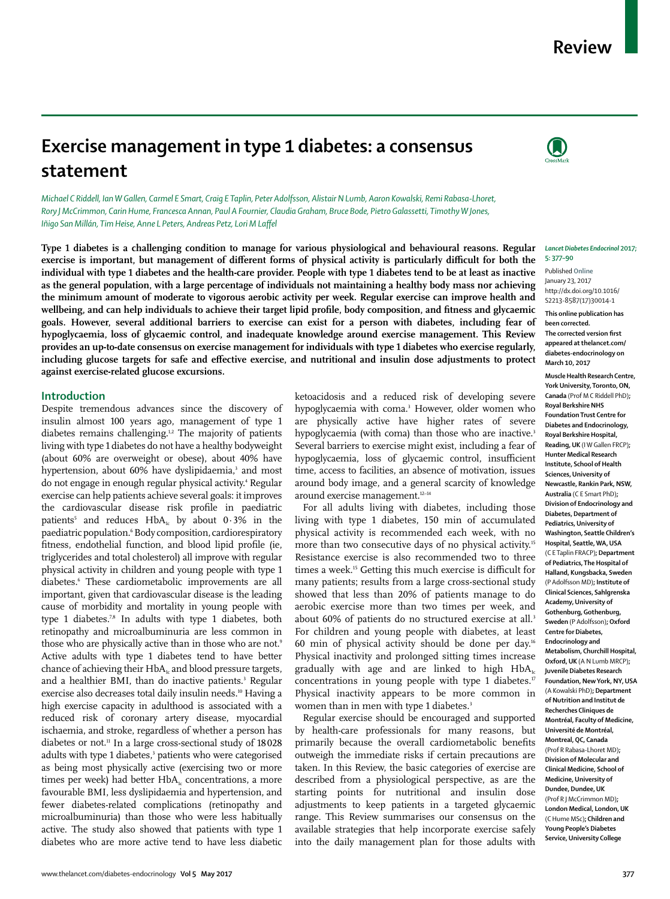# **Review**

# **Exercise management in type 1 diabetes: a consensus statement**

*Michael C Riddell, Ian W Gallen, Carmel E Smart, Craig E Taplin, Peter Adolfsson, Alistair N Lumb, Aaron Kowalski, Remi Rabasa-Lhoret, Rory J McCrimmon, Carin Hume, Francesca Annan, Paul A Fournier, Claudia Graham, Bruce Bode, Pietro Galassetti, Timothy W Jones, Iñigo San Millán, Tim Heise, Anne L Peters, Andreas Petz, Lori M Laffel*

**Type 1 diabetes is a challenging condition to manage for various physiological and behavioural reasons. Regular exercise is important, but management of different forms of physical activity is particularly difficult for both the individual with type 1 diabetes and the health-care provider. People with type 1 diabetes tend to be at least as inactive as the general population, with a large percentage of individuals not maintaining a healthy body mass nor achieving the minimum amount of moderate to vigorous aerobic activity per week. Regular exercise can improve health and wellbeing, and can help individuals to achieve their target lipid profile, body composition, and fitness and glycaemic goals. However, several additional barriers to exercise can exist for a person with diabetes, including fear of hypoglycaemia, loss of glycaemic control, and inadequate knowledge around exercise management. This Review provides an up-to-date consensus on exercise management for individuals with type 1 diabetes who exercise regularly, including glucose targets for safe and effective exercise, and nutritional and insulin dose adjustments to protect against exercise-related glucose excursions.**

## **Introduction**

Despite tremendous advances since the discovery of insulin almost 100 years ago, management of type 1 diabetes remains challenging.<sup>1,2</sup> The majority of patients living with type 1 diabetes do not have a healthy bodyweight (about 60% are overweight or obese), about 40% have hypertension, about 60% have dyslipidaemia,<sup>3</sup> and most do not engage in enough regular physical activity.<sup>4</sup> Regular exercise can help patients achieve several goals: it improves the cardiovascular disease risk profile in paediatric patients<sup>5</sup> and reduces  $HbA_{1c}$  by about 0.3% in the paediatric population.<sup>6</sup> Body composition, cardiorespiratory fitness, endothelial function, and blood lipid profile (ie, triglycerides and total cholesterol) all improve with regular physical activity in children and young people with type 1 diabetes.6 These cardiometabolic improvements are all important, given that cardiovascular disease is the leading cause of morbidity and mortality in young people with type 1 diabetes.<sup>7,8</sup> In adults with type 1 diabetes, both retinopathy and microalbuminuria are less common in those who are physically active than in those who are not.<sup>9</sup> Active adults with type 1 diabetes tend to have better chance of achieving their  $HbA<sub>k</sub>$  and blood pressure targets, and a healthier BMI, than do inactive patients.<sup>3</sup> Regular exercise also decreases total daily insulin needs.<sup>10</sup> Having a high exercise capacity in adulthood is associated with a reduced risk of coronary artery disease, myocardial ischaemia, and stroke, regardless of whether a person has diabetes or not.<sup>11</sup> In a large cross-sectional study of 18028 adults with type 1 diabetes,<sup>3</sup> patients who were categorised as being most physically active (exercising two or more times per week) had better HbA<sub>1c</sub> concentrations, a more favourable BMI, less dyslipidaemia and hypertension, and fewer diabetes-related complications (retinopathy and microalbuminuria) than those who were less habitually active. The study also showed that patients with type 1 diabetes who are more active tend to have less diabetic

ketoacidosis and a reduced risk of developing severe hypoglycaemia with coma.3 However, older women who are physically active have higher rates of severe hypoglycaemia (with coma) than those who are inactive.<sup>3</sup> Several barriers to exercise might exist, including a fear of hypoglycaemia, loss of glycaemic control, insufficient time, access to facilities, an absence of motivation, issues around body image, and a general scarcity of knowledge around exercise management.<sup>12-14</sup>

For all adults living with diabetes, including those living with type 1 diabetes, 150 min of accumulated physical activity is recommended each week, with no more than two consecutive days of no physical activity.15 Resistance exercise is also recommended two to three times a week.<sup>15</sup> Getting this much exercise is difficult for many patients; results from a large cross-sectional study showed that less than 20% of patients manage to do aerobic exercise more than two times per week, and about 60% of patients do no structured exercise at all.<sup>3</sup> For children and young people with diabetes, at least 60 min of physical activity should be done per day.<sup>16</sup> Physical inactivity and prolonged sitting times increase gradually with age and are linked to high  $HbA<sub>i</sub>$ concentrations in young people with type 1 diabetes.<sup>17</sup> Physical inactivity appears to be more common in women than in men with type 1 diabetes.<sup>3</sup>

Regular exercise should be encouraged and supported by health-care professionals for many reasons, but primarily because the overall cardiometabolic benefits outweigh the immediate risks if certain precautions are taken. In this Review, the basic categories of exercise are described from a physiological perspective, as are the starting points for nutritional and insulin dose adjustments to keep patients in a targeted glycaemic range. This Review summarises our consensus on the available strategies that help incorporate exercise safely into the daily management plan for those adults with



#### *Lancet Diabetes Endocrinol* **2017; 5: 377–90**

Published **Online** January 23, 2017 http://dx.doi.org/10.1016/ S2213-8587(17)30014-1

**This online publication has been corrected. The corrected version first appeared at thelancet.com/ diabetes-endocrinology on March 10, 2017**

**Muscle Health Research Centre, York University, Toronto, ON, Canada** (Prof M C Riddell PhD)**; Royal Berkshire NHS Foundation Trust Centre for Diabetes and Endocrinology, Royal Berkshire Hospital, Reading, UK** (I W Gallen FRCP)**; Hunter Medical Research Institute, School of Health Sciences, University of Newcastle, Rankin Park, NSW, Australia** (C E Smart PhD)**; Division of Endocrinology and Diabetes, Department of Pediatrics, University of Washington, Seattle Children's Hospital, Seattle, WA, USA**  (C E Taplin FRACP)**; Department of Pediatrics, The Hospital of Halland, Kungsbacka, Sweden**  (P Adolfsson MD)**; Institute of Clinical Sciences, Sahlgrenska Academy, University of Gothenburg, Gothenburg, Sweden** (P Adolfsson)**; Oxford Centre for Diabetes, Endocrinology and Metabolism, Churchill Hospital, Oxford, UK** (A N Lumb MRCP)**; Juvenile Diabetes Research Foundation, New York, NY, USA**  (A Kowalski PhD)**; Department of Nutrition and Institut de Recherches Cliniques de Montréal, Faculty of Medicine, Université de Montréal, Montreal, QC, Canada**  (Prof R Rabasa-Lhoret MD)**; Division of Molecular and Clinical Medicine, School of Medicine, University of Dundee, Dundee, UK**  (Prof R J McCrimmon MD)**; London Medical, London, UK**  (C Hume MSc)**; Children and Young People's Diabetes Service, University College**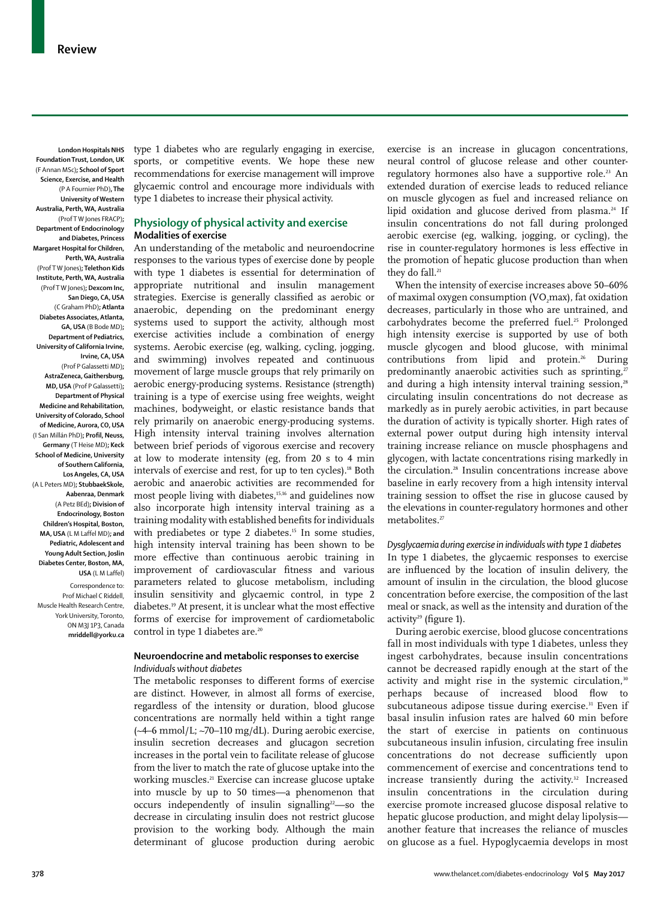**London Hospitals NHS Foundation Trust, London, UK**  (F Annan MSc)**; School of Sport Science, Exercise, and Health**  (P A Fournier PhD)**, The University of Western Australia, Perth, WA, Australia**  (Prof T W Jones FRACP)**; Department of Endocrinology and Diabetes, Princess Margaret Hospital for Children, Perth, WA, Australia**  (Prof T W Jones)**; Telethon Kids Institute, Perth, WA, Australia**  (Prof T W Jones)**; Dexcom Inc, San Diego, CA, USA**  (C Graham PhD)**; Atlanta Diabetes Associates, Atlanta, GA, USA** (B Bode MD)**; Department of Pediatrics, University of California Irvine, Irvine, CA, USA**  (Prof P Galassetti MD)**; AstraZeneca, Gaithersburg, MD, USA** (Prof P Galassetti)**; Department of Physical Medicine and Rehabilitation, University of Colorado, School of Medicine, Aurora, CO, USA**  (I San Millán PhD)**; Profil, Neuss, Germany** (T Heise MD)**; Keck School of Medicine, University of Southern California, Los Angeles, CA, USA**  (A L Peters MD)**; StubbaekSkole, Aabenraa, Denmark**  (A Petz BEd)**; Division of Endocrinology, Boston Children's Hospital, Boston, MA, USA** (L M Laffel MD)**; and Pediatric, Adolescent and Young Adult Section, Joslin Diabetes Center, Boston, MA, USA** (L M Laffel)

Correspondence to: Prof Michael C Riddell, Muscle Health Research Centre, York University, Toronto, ON M3J 1P3, Canada **mriddell@yorku.ca** type 1 diabetes who are regularly engaging in exercise, sports, or competitive events. We hope these new recommendations for exercise management will improve glycaemic control and encourage more individuals with type 1 diabetes to increase their physical activity.

## **Physiology of physical activity and exercise Modalities of exercise**

An understanding of the metabolic and neuroendocrine responses to the various types of exercise done by people with type 1 diabetes is essential for determination of appropriate nutritional and insulin management strategies. Exercise is generally classified as aerobic or anaerobic, depending on the predominant energy systems used to support the activity, although most exercise activities include a combination of energy systems. Aerobic exercise (eg, walking, cycling, jogging, and swimming) involves repeated and continuous movement of large muscle groups that rely primarily on aerobic energy-producing systems. Resistance (strength) training is a type of exercise using free weights, weight machines, bodyweight, or elastic resistance bands that rely primarily on anaerobic energy-producing systems. High intensity interval training involves alternation between brief periods of vigorous exercise and recovery at low to moderate intensity (eg, from 20 s to 4 min intervals of exercise and rest, for up to ten cycles).<sup>18</sup> Both aerobic and anaerobic activities are recommended for most people living with diabetes,15,16 and guidelines now also incorporate high intensity interval training as a training modality with established benefits for individuals with prediabetes or type 2 diabetes. $15$  In some studies, high intensity interval training has been shown to be more effective than continuous aerobic training in improvement of cardiovascular fitness and various parameters related to glucose metabolism, including insulin sensitivity and glycaemic control, in type 2 diabetes.19 At present, it is unclear what the most effective forms of exercise for improvement of cardiometabolic control in type 1 diabetes are.<sup>20</sup>

#### **Neuroendocrine and metabolic responses to exercise** *Individuals without diabetes*

The metabolic responses to different forms of exercise are distinct. However, in almost all forms of exercise, regardless of the intensity or duration, blood glucose concentrations are normally held within a tight range (~4–6 mmol/L; ~70–110 mg/dL). During aerobic exercise, insulin secretion decreases and glucagon secretion increases in the portal vein to facilitate release of glucose from the liver to match the rate of glucose uptake into the working muscles.<sup>21</sup> Exercise can increase glucose uptake into muscle by up to 50 times—a phenomenon that occurs independently of insulin signalling $22$ —so the decrease in circulating insulin does not restrict glucose provision to the working body. Although the main determinant of glucose production during aerobic exercise is an increase in glucagon concentrations, neural control of glucose release and other counterregulatory hormones also have a supportive role.<sup>23</sup> An extended duration of exercise leads to reduced reliance on muscle glycogen as fuel and increased reliance on lipid oxidation and glucose derived from plasma.<sup>24</sup> If insulin concentrations do not fall during prolonged aerobic exercise (eg, walking, jogging, or cycling), the rise in counter-regulatory hormones is less effective in the promotion of hepatic glucose production than when they do fall.<sup>21</sup>

When the intensity of exercise increases above 50–60% of maximal oxygen consumption (VO<sub>2</sub>max), fat oxidation decreases, particularly in those who are untrained, and carbohydrates become the preferred fuel.<sup>25</sup> Prolonged high intensity exercise is supported by use of both muscle glycogen and blood glucose, with minimal contributions from lipid and protein.<sup>26</sup> During predominantly anaerobic activities such as sprinting, $^{27}$ and during a high intensity interval training session,<sup>28</sup> circulating insulin concentrations do not decrease as markedly as in purely aerobic activities, in part because the duration of activity is typically shorter. High rates of external power output during high intensity interval training increase reliance on muscle phosphagens and glycogen, with lactate concentrations rising markedly in the circulation.<sup>28</sup> Insulin concentrations increase above baseline in early recovery from a high intensity interval training session to offset the rise in glucose caused by the elevations in counter-regulatory hormones and other metabolites.<sup>27</sup>

## *Dysglycaemia during exercise in individuals with type 1 diabetes*

In type 1 diabetes, the glycaemic responses to exercise are influenced by the location of insulin delivery, the amount of insulin in the circulation, the blood glucose concentration before exercise, the composition of the last meal or snack, as well as the intensity and duration of the activity<sup>29</sup> (figure 1).

During aerobic exercise, blood glucose concentrations fall in most individuals with type 1 diabetes, unless they ingest carbohydrates, because insulin concentrations cannot be decreased rapidly enough at the start of the activity and might rise in the systemic circulation,<sup>30</sup> perhaps because of increased blood flow to subcutaneous adipose tissue during exercise.<sup>31</sup> Even if basal insulin infusion rates are halved 60 min before the start of exercise in patients on continuous subcutaneous insulin infusion, circulating free insulin concentrations do not decrease sufficiently upon commencement of exercise and concentrations tend to increase transiently during the activity.<sup>32</sup> Increased insulin concentrations in the circulation during exercise promote increased glucose disposal relative to hepatic glucose production, and might delay lipolysis another feature that increases the reliance of muscles on glucose as a fuel. Hypoglycaemia develops in most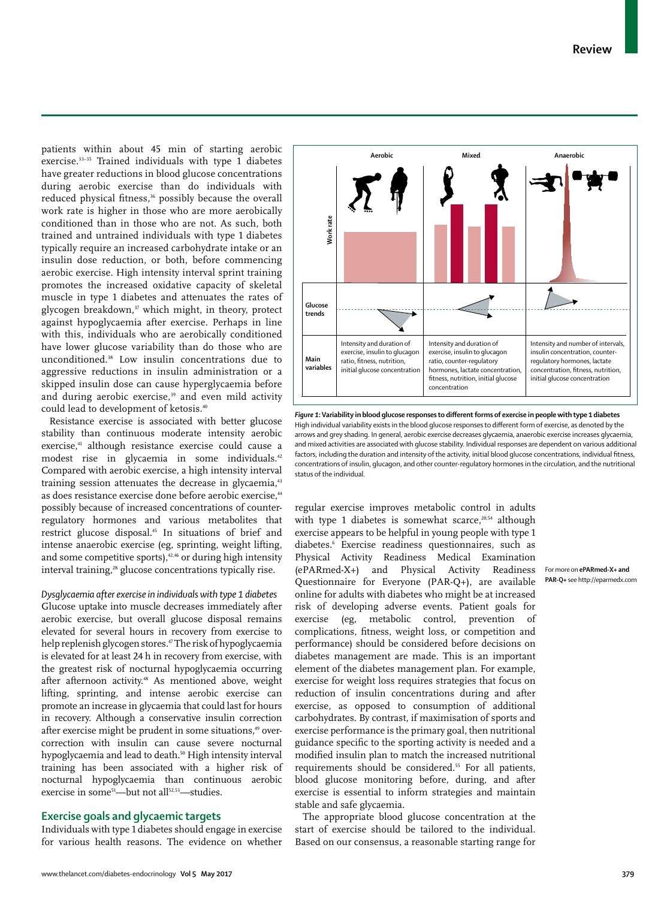patients within about 45 min of starting aerobic exercise.<sup>33-35</sup> Trained individuals with type 1 diabetes have greater reductions in blood glucose concentrations during aerobic exercise than do individuals with reduced physical fitness,<sup>36</sup> possibly because the overall work rate is higher in those who are more aerobically conditioned than in those who are not. As such, both trained and untrained individuals with type 1 diabetes typically require an increased carbohydrate intake or an insulin dose reduction, or both, before commencing aerobic exercise. High intensity interval sprint training promotes the increased oxidative capacity of skeletal muscle in type 1 diabetes and attenuates the rates of glycogen breakdown, $37$  which might, in theory, protect against hypoglycaemia after exercise. Perhaps in line with this, individuals who are aerobically conditioned have lower glucose variability than do those who are unconditioned.38 Low insulin concentrations due to aggressive reductions in insulin administration or a skipped insulin dose can cause hyperglycaemia before and during aerobic exercise,<sup>39</sup> and even mild activity could lead to development of ketosis.40

Resistance exercise is associated with better glucose stability than continuous moderate intensity aerobic exercise,<sup>41</sup> although resistance exercise could cause a modest rise in glycaemia in some individuals.42 Compared with aerobic exercise, a high intensity interval training session attenuates the decrease in glycaemia,<sup>43</sup> as does resistance exercise done before aerobic exercise,<sup>44</sup> possibly because of increased concentrations of counterregulatory hormones and various metabolites that restrict glucose disposal.45 In situations of brief and intense anaerobic exercise (eg, sprinting, weight lifting, and some competitive sports),<sup>42,46</sup> or during high intensity interval training,<sup>28</sup> glucose concentrations typically rise.

*Dysglycaemia after exercise in individuals with type 1 diabetes* Glucose uptake into muscle decreases immediately after aerobic exercise, but overall glucose disposal remains elevated for several hours in recovery from exercise to help replenish glycogen stores.47 The risk of hypoglycaemia is elevated for at least 24 h in recovery from exercise, with the greatest risk of nocturnal hypoglycaemia occurring after afternoon activity.<sup>48</sup> As mentioned above, weight lifting, sprinting, and intense aerobic exercise can promote an increase in glycaemia that could last for hours in recovery. Although a conservative insulin correction after exercise might be prudent in some situations,<sup>49</sup> overcorrection with insulin can cause severe nocturnal hypoglycaemia and lead to death.<sup>50</sup> High intensity interval training has been associated with a higher risk of nocturnal hypoglycaemia than continuous aerobic exercise in some $51$ —but not all $52,53$ —studies.

# **Exercise goals and glycaemic targets**

Individuals with type 1 diabetes should engage in exercise for various health reasons. The evidence on whether



*Figure 1***: Variability in blood glucose responses to different forms of exercise in people with type 1 diabetes** High individual variability exists in the blood glucose responses to different form of exercise, as denoted by the arrows and grey shading. In general, aerobic exercise decreases glycaemia, anaerobic exercise increases glycaemia, and mixed activities are associated with glucose stability. Individual responses are dependent on various additional factors, including the duration and intensity of the activity, initial blood glucose concentrations, individual fitness, concentrations of insulin, glucagon, and other counter-regulatory hormones in the circulation, and the nutritional status of the individual.

regular exercise improves metabolic control in adults with type 1 diabetes is somewhat scarce, $20,54$  although exercise appears to be helpful in young people with type 1 diabetes.6 Exercise readiness questionnaires, such as Physical Activity Readiness Medical Examination [\(ePARmed-X+\) and Physical Activity Readiness](http://eparmedx.com) [Questionnaire](http://eparmedx.com) for Everyone (PAR-Q+), are available online for adults with diabetes who might be at increased risk of developing adverse events. Patient goals for exercise (eg, metabolic control, prevention of complications, fitness, weight loss, or competition and performance) should be considered before decisions on diabetes management are made. This is an important element of the diabetes management plan. For example, exercise for weight loss requires strategies that focus on reduction of insulin concentrations during and after exercise, as opposed to consumption of additional carbohydrates. By contrast, if maximisation of sports and exercise performance is the primary goal, then nutritional guidance specific to the sporting activity is needed and a modified insulin plan to match the increased nutritional requirements should be considered.55 For all patients, blood glucose monitoring before, during, and after exercise is essential to inform strategies and maintain stable and safe glycaemia.

The appropriate blood glucose concentration at the start of exercise should be tailored to the individual. Based on our consensus, a reasonable starting range for

For more on **ePARmed-X+ and PAR-Q+** see http://eparmedx.com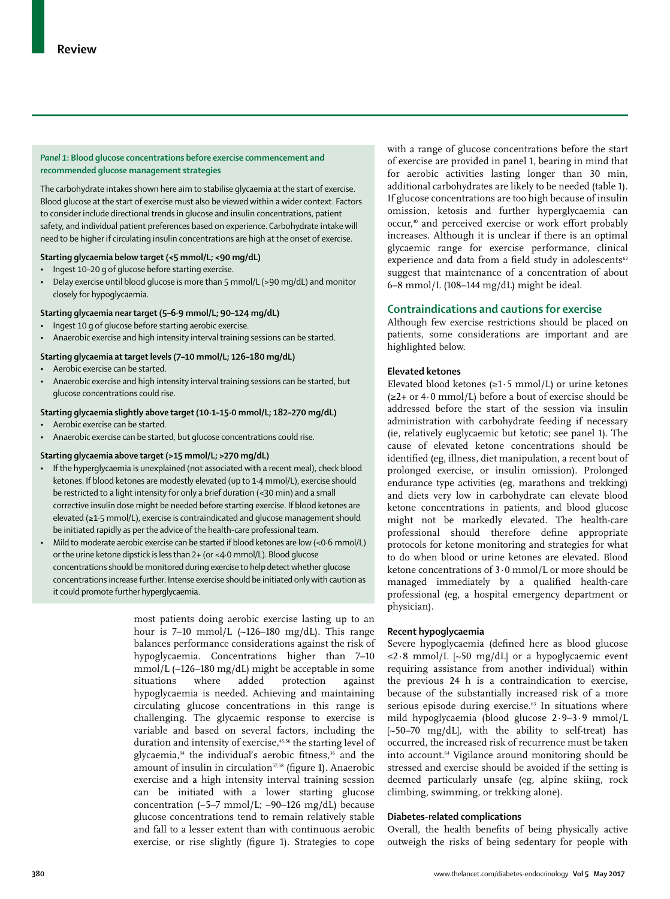## *Panel 1***: Blood glucose concentrations before exercise commencement and recommended glucose management strategies**

The carbohydrate intakes shown here aim to stabilise glycaemia at the start of exercise. Blood glucose at the start of exercise must also be viewed within a wider context. Factors to consider include directional trends in glucose and insulin concentrations, patient safety, and individual patient preferences based on experience. Carbohydrate intake will need to be higher if circulating insulin concentrations are high at the onset of exercise.

#### **Starting glycaemia below target (<5 mmol/L; <90 mg/dL)**

- Ingest 10-20 g of glucose before starting exercise.
- Delay exercise until blood glucose is more than 5 mmol/L (>90 mg/dL) and monitor closely for hypoglycaemia.

## **Starting glycaemia near target (5–6·9 mmol/L; 90–124 mg/dL)**

- • Ingest 10 g of glucose before starting aerobic exercise.
- Anaerobic exercise and high intensity interval training sessions can be started.
- **Starting glycaemia at target levels (7–10 mmol/L; 126–180 mg/dL)**
- Aerobic exercise can be started.
- Anaerobic exercise and high intensity interval training sessions can be started, but glucose concentrations could rise.
- **Starting glycaemia slightly above target (10·1–15·0 mmol/L; 182–270 mg/dL)**
- Aerobic exercise can be started.
- Anaerobic exercise can be started, but glucose concentrations could rise.

### **Starting glycaemia above target (>15 mmol/L; >270 mg/dL)**

- If the hyperglycaemia is unexplained (not associated with a recent meal), check blood ketones. If blood ketones are modestly elevated (up to 1·4 mmol/L), exercise should be restricted to a light intensity for only a brief duration (<30 min) and a small corrective insulin dose might be needed before starting exercise. If blood ketones are elevated (≥1·5 mmol/L), exercise is contraindicated and glucose management should be initiated rapidly as per the advice of the health-care professional team.
- Mild to moderate aerobic exercise can be started if blood ketones are low (<0.6 mmol/L) or the urine ketone dipstick is less than 2+ (or <4·0 mmol/L). Blood glucose concentrations should be monitored during exercise to help detect whether glucose concentrations increase further. Intense exercise should be initiated only with caution as it could promote further hyperglycaemia.

most patients doing aerobic exercise lasting up to an hour is 7-10 mmol/L  $(-126-180 \text{ mg/dL})$ . This range balances performance considerations against the risk of hypoglycaemia. Concentrations higher than 7–10 mmol/L (~126–180 mg/dL) might be acceptable in some situations where added protection against hypoglycaemia is needed. Achieving and maintaining circulating glucose concentrations in this range is challenging. The glycaemic response to exercise is variable and based on several factors, including the duration and intensity of exercise,<sup>45,56</sup> the starting level of glycaemia,<sup>34</sup> the individual's aerobic fitness,<sup>36</sup> and the amount of insulin in circulation<sup>57,58</sup> (figure 1). Anaerobic exercise and a high intensity interval training session can be initiated with a lower starting glucose concentration  $(-5-7 \text{ mmol/L}; -90-126 \text{ mg/dL})$  because glucose concentrations tend to remain relatively stable and fall to a lesser extent than with continuous aerobic exercise, or rise slightly (figure 1). Strategies to cope with a range of glucose concentrations before the start of exercise are provided in panel 1, bearing in mind that for aerobic activities lasting longer than 30 min, additional carbohydrates are likely to be needed (table 1). If glucose concentrations are too high because of insulin omission, ketosis and further hyperglycaemia can occur,<sup>40</sup> and perceived exercise or work effort probably increases. Although it is unclear if there is an optimal glycaemic range for exercise performance, clinical experience and data from a field study in adolescents<sup>62</sup> suggest that maintenance of a concentration of about 6–8 mmol/L (108–144 mg/dL) might be ideal.

## **Contraindications and cautions for exercise**

Although few exercise restrictions should be placed on patients, some considerations are important and are highlighted below.

## **Elevated ketones**

Elevated blood ketones ( $\geq 1.5$  mmol/L) or urine ketones (≥2+ or 4·0 mmol/L) before a bout of exercise should be addressed before the start of the session via insulin administration with carbohydrate feeding if necessary (ie, relatively euglycaemic but ketotic; see panel 1). The cause of elevated ketone concentrations should be identified (eg, illness, diet manipulation, a recent bout of prolonged exercise, or insulin omission). Prolonged endurance type activities (eg, marathons and trekking) and diets very low in carbohydrate can elevate blood ketone concentrations in patients, and blood glucose might not be markedly elevated. The health-care professional should therefore define appropriate protocols for ketone monitoring and strategies for what to do when blood or urine ketones are elevated. Blood ketone concentrations of 3·0 mmol/L or more should be managed immediately by a qualified health-care professional (eg, a hospital emergency department or physician).

#### **Recent hypoglycaemia**

Severe hypoglycaemia (defined here as blood glucose ≤2.8 mmol/L [~50 mg/dL] or a hypoglycaemic event requiring assistance from another individual) within the previous 24 h is a contraindication to exercise, because of the substantially increased risk of a more serious episode during exercise.<sup>63</sup> In situations where mild hypoglycaemia (blood glucose 2·9–3·9 mmol/L [~50–70 mg/dL], with the ability to self-treat) has occurred, the increased risk of recurrence must be taken into account.<sup>64</sup> Vigilance around monitoring should be stressed and exercise should be avoided if the setting is deemed particularly unsafe (eg, alpine skiing, rock climbing, swimming, or trekking alone).

## **Diabetes-related complications**

Overall, the health benefits of being physically active outweigh the risks of being sedentary for people with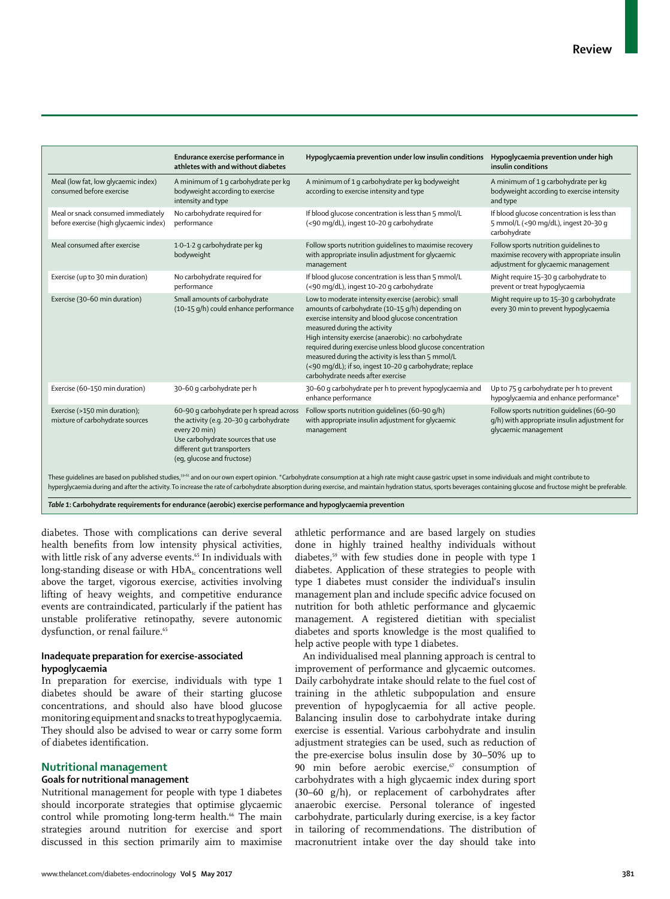|                                                                              | Endurance exercise performance in<br>athletes with and without diabetes                                                                                                                               | Hypoqlycaemia prevention under low insulin conditions                                                                                                                                                                                                                                                                                                                                                                                                                       | Hypoglycaemia prevention under high<br>insulin conditions                                                                  |
|------------------------------------------------------------------------------|-------------------------------------------------------------------------------------------------------------------------------------------------------------------------------------------------------|-----------------------------------------------------------------------------------------------------------------------------------------------------------------------------------------------------------------------------------------------------------------------------------------------------------------------------------------------------------------------------------------------------------------------------------------------------------------------------|----------------------------------------------------------------------------------------------------------------------------|
| Meal (low fat, low glycaemic index)<br>consumed before exercise              | A minimum of 1 g carbohydrate per kg<br>bodyweight according to exercise<br>intensity and type                                                                                                        | A minimum of 1 g carbohydrate per kg bodyweight<br>according to exercise intensity and type                                                                                                                                                                                                                                                                                                                                                                                 | A minimum of 1 g carbohydrate per kg<br>bodyweight according to exercise intensity<br>and type                             |
| Meal or snack consumed immediately<br>before exercise (high glycaemic index) | No carbohydrate required for<br>performance                                                                                                                                                           | If blood qlucose concentration is less than 5 mmol/L<br>(<90 mg/dL), ingest 10-20 g carbohydrate                                                                                                                                                                                                                                                                                                                                                                            | If blood glucose concentration is less than<br>5 mmol/L (<90 mg/dL), ingest 20-30 g<br>carbohydrate                        |
| Meal consumed after exercise                                                 | 1.0-1.2 g carbohydrate per kg<br>bodyweight                                                                                                                                                           | Follow sports nutrition quidelines to maximise recovery<br>with appropriate insulin adjustment for glycaemic<br>management                                                                                                                                                                                                                                                                                                                                                  | Follow sports nutrition quidelines to<br>maximise recovery with appropriate insulin<br>adjustment for glycaemic management |
| Exercise (up to 30 min duration)                                             | No carbohydrate required for<br>performance                                                                                                                                                           | If blood qlucose concentration is less than 5 mmol/L<br>(<90 mg/dL), ingest 10-20 g carbohydrate                                                                                                                                                                                                                                                                                                                                                                            | Might require 15-30 g carbohydrate to<br>prevent or treat hypoglycaemia                                                    |
| Exercise (30-60 min duration)                                                | Small amounts of carbohydrate<br>(10-15 q/h) could enhance performance                                                                                                                                | Low to moderate intensity exercise (aerobic): small<br>amounts of carbohydrate (10-15 q/h) depending on<br>exercise intensity and blood glucose concentration<br>measured during the activity<br>High intensity exercise (anaerobic): no carbohydrate<br>required during exercise unless blood glucose concentration<br>measured during the activity is less than 5 mmol/L<br>(<90 mg/dL); if so, ingest 10-20 g carbohydrate; replace<br>carbohydrate needs after exercise | Might require up to 15-30 g carbohydrate<br>every 30 min to prevent hypoglycaemia                                          |
| Exercise (60-150 min duration)                                               | 30-60 g carbohydrate per h                                                                                                                                                                            | 30-60 g carbohydrate per h to prevent hypoglycaemia and<br>enhance performance                                                                                                                                                                                                                                                                                                                                                                                              | Up to 75 g carbohydrate per h to prevent<br>hypoqlycaemia and enhance performance*                                         |
| Exercise (>150 min duration);<br>mixture of carbohydrate sources             | 60-90 g carbohydrate per h spread across<br>the activity (e.g. 20-30 g carbohydrate<br>every 20 min)<br>Use carbohydrate sources that use<br>different qut transporters<br>(eq, glucose and fructose) | Follow sports nutrition quidelines (60-90 q/h)<br>with appropriate insulin adjustment for glycaemic<br>management                                                                                                                                                                                                                                                                                                                                                           | Follow sports nutrition quidelines (60-90<br>q/h) with appropriate insulin adjustment for<br>glycaemic management          |

These guidelines are based on published studies,59–61 and on our own expert opinion. \*Carbohydrate consumption at a high rate might cause gastric upset in some individuals and might contribute to hyperglycaemia during and after the activity. To increase the rate of carbohydrate absorption during exercise, and maintain hydration status, sports beverages containing glucose and fructose might be preferable.

*Table 1***: Carbohydrate requirements for endurance (aerobic) exercise performance and hypoglycaemia prevention** 

diabetes. Those with complications can derive several health benefits from low intensity physical activities, with little risk of any adverse events.<sup>65</sup> In individuals with long-standing disease or with  $HbA<sub>i</sub>$  concentrations well above the target, vigorous exercise, activities involving lifting of heavy weights, and competitive endurance events are contraindicated, particularly if the patient has unstable proliferative retinopathy, severe autonomic dysfunction, or renal failure.<sup>65</sup>

# **Inadequate preparation for exercise-associated hypoglycaemia**

In preparation for exercise, individuals with type 1 diabetes should be aware of their starting glucose concentrations, and should also have blood glucose monitoring equipment and snacks to treat hypoglycaemia. They should also be advised to wear or carry some form of diabetes identification.

# **Nutritional management**

# **Goals for nutritional management**

Nutritional management for people with type 1 diabetes should incorporate strategies that optimise glycaemic control while promoting long-term health.<sup>66</sup> The main strategies around nutrition for exercise and sport discussed in this section primarily aim to maximise athletic performance and are based largely on studies done in highly trained healthy individuals without diabetes,<sup>59</sup> with few studies done in people with type 1 diabetes. Application of these strategies to people with type 1 diabetes must consider the individual's insulin management plan and include specific advice focused on nutrition for both athletic performance and glycaemic management. A registered dietitian with specialist diabetes and sports knowledge is the most qualified to help active people with type 1 diabetes.

An individualised meal planning approach is central to improvement of performance and glycaemic outcomes. Daily carbohydrate intake should relate to the fuel cost of training in the athletic subpopulation and ensure prevention of hypoglycaemia for all active people. Balancing insulin dose to carbohydrate intake during exercise is essential. Various carbohydrate and insulin adjustment strategies can be used, such as reduction of the pre-exercise bolus insulin dose by 30–50% up to 90 min before aerobic exercise,<sup>67</sup> consumption of carbohydrates with a high glycaemic index during sport (30–60 g/h), or replacement of carbohydrates after anaerobic exercise. Personal tolerance of ingested carbohydrate, particularly during exercise, is a key factor in tailoring of recommendations. The distribution of macronutrient intake over the day should take into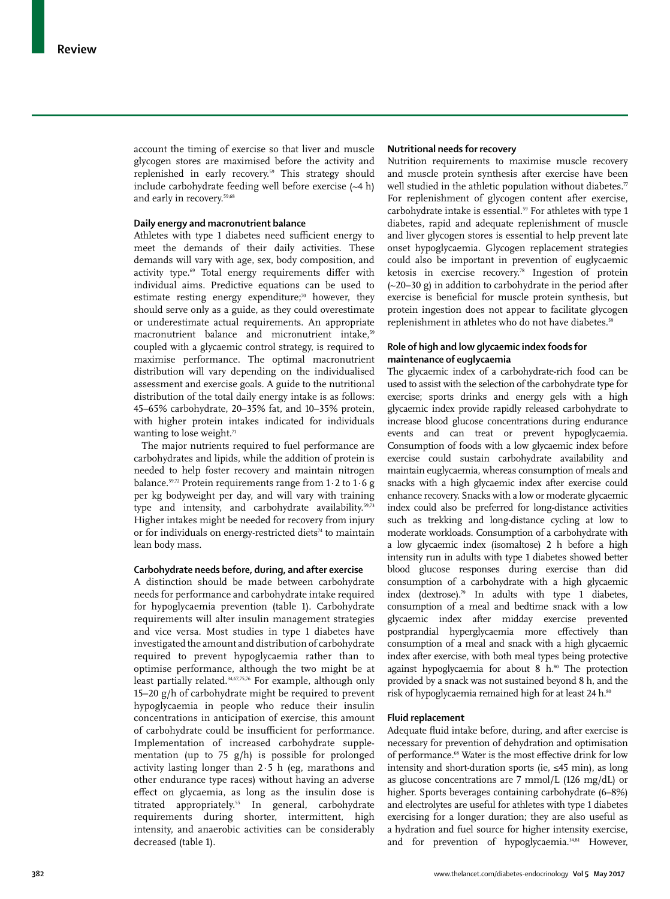account the timing of exercise so that liver and muscle glycogen stores are maximised before the activity and replenished in early recovery.<sup>59</sup> This strategy should include carbohydrate feeding well before exercise (~4 h) and early in recovery.59,68

## **Daily energy and macronutrient balance**

Athletes with type 1 diabetes need sufficient energy to meet the demands of their daily activities. These demands will vary with age, sex, body composition, and activity type.<sup>69</sup> Total energy requirements differ with individual aims. Predictive equations can be used to estimate resting energy expenditure; $\sqrt[n]{ }$  however, they should serve only as a guide, as they could overestimate or underestimate actual requirements. An appropriate macronutrient balance and micronutrient intake,<sup>59</sup> coupled with a glycaemic control strategy, is required to maximise performance. The optimal macronutrient distribution will vary depending on the individualised assessment and exercise goals. A guide to the nutritional distribution of the total daily energy intake is as follows: 45–65% carbohydrate, 20–35% fat, and 10–35% protein, with higher protein intakes indicated for individuals wanting to lose weight.<sup>71</sup>

The major nutrients required to fuel performance are carbohydrates and lipids, while the addition of protein is needed to help foster recovery and maintain nitrogen balance.<sup>59,72</sup> Protein requirements range from  $1\cdot 2$  to  $1\cdot 6$  g per kg bodyweight per day, and will vary with training type and intensity, and carbohydrate availability.<sup>59,73</sup> Higher intakes might be needed for recovery from injury or for individuals on energy-restricted diets<sup>74</sup> to maintain lean body mass.

#### **Carbohydrate needs before, during, and after exercise**

A distinction should be made between carbohydrate needs for performance and carbohydrate intake required for hypoglycaemia prevention (table 1). Carbohydrate requirements will alter insulin management strategies and vice versa. Most studies in type 1 diabetes have investigated the amount and distribution of carbohydrate required to prevent hypoglycaemia rather than to optimise performance, although the two might be at least partially related.<sup>34,67,75,76</sup> For example, although only 15–20 g/h of carbohydrate might be required to prevent hypoglycaemia in people who reduce their insulin concentrations in anticipation of exercise, this amount of carbohydrate could be insufficient for performance. Implementation of increased carbohydrate supplementation (up to 75 g/h) is possible for prolonged activity lasting longer than 2·5 h (eg, marathons and other endurance type races) without having an adverse effect on glycaemia, as long as the insulin dose is titrated appropriately.<sup>55</sup> In general, carbohydrate requirements during shorter, intermittent, high intensity, and anaerobic activities can be considerably decreased (table 1).

#### **Nutritional needs for recovery**

Nutrition requirements to maximise muscle recovery and muscle protein synthesis after exercise have been well studied in the athletic population without diabetes.<sup>77</sup> For replenishment of glycogen content after exercise, carbohydrate intake is essential.<sup>59</sup> For athletes with type 1 diabetes, rapid and adequate replenishment of muscle and liver glycogen stores is essential to help prevent late onset hypoglycaemia. Glycogen replacement strategies could also be important in prevention of euglycaemic ketosis in exercise recovery.78 Ingestion of protein (~20–30 g) in addition to carbohydrate in the period after exercise is beneficial for muscle protein synthesis, but protein ingestion does not appear to facilitate glycogen replenishment in athletes who do not have diabetes.<sup>59</sup>

## **Role of high and low glycaemic index foods for maintenance of euglycaemia**

The glycaemic index of a carbohydrate-rich food can be used to assist with the selection of the carbohydrate type for exercise; sports drinks and energy gels with a high glycaemic index provide rapidly released carbohydrate to increase blood glucose concentrations during endurance events and can treat or prevent hypoglycaemia. Consumption of foods with a low glycaemic index before exercise could sustain carbohydrate availability and maintain euglycaemia, whereas consumption of meals and snacks with a high glycaemic index after exercise could enhance recovery. Snacks with a low or moderate glycaemic index could also be preferred for long-distance activities such as trekking and long-distance cycling at low to moderate workloads. Consumption of a carbohydrate with a low glycaemic index (isomaltose) 2 h before a high intensity run in adults with type 1 diabetes showed better blood glucose responses during exercise than did consumption of a carbohydrate with a high glycaemic index (dextrose).79 In adults with type 1 diabetes, consumption of a meal and bedtime snack with a low glycaemic index after midday exercise prevented postprandial hyperglycaemia more effectively than consumption of a meal and snack with a high glycaemic index after exercise, with both meal types being protective against hypoglycaemia for about 8  $h$ .<sup>80</sup> The protection provided by a snack was not sustained beyond 8 h, and the risk of hypoglycaemia remained high for at least 24 h.<sup>80</sup>

# **Fluid replacement**

Adequate fluid intake before, during, and after exercise is necessary for prevention of dehydration and optimisation of performance.68 Water is the most effective drink for low intensity and short-duration sports (ie, ≤45 min), as long as glucose concentrations are 7 mmol/L (126 mg/dL) or higher. Sports beverages containing carbohydrate (6–8%) and electrolytes are useful for athletes with type 1 diabetes exercising for a longer duration; they are also useful as a hydration and fuel source for higher intensity exercise, and for prevention of hypoglycaemia.34,81 However,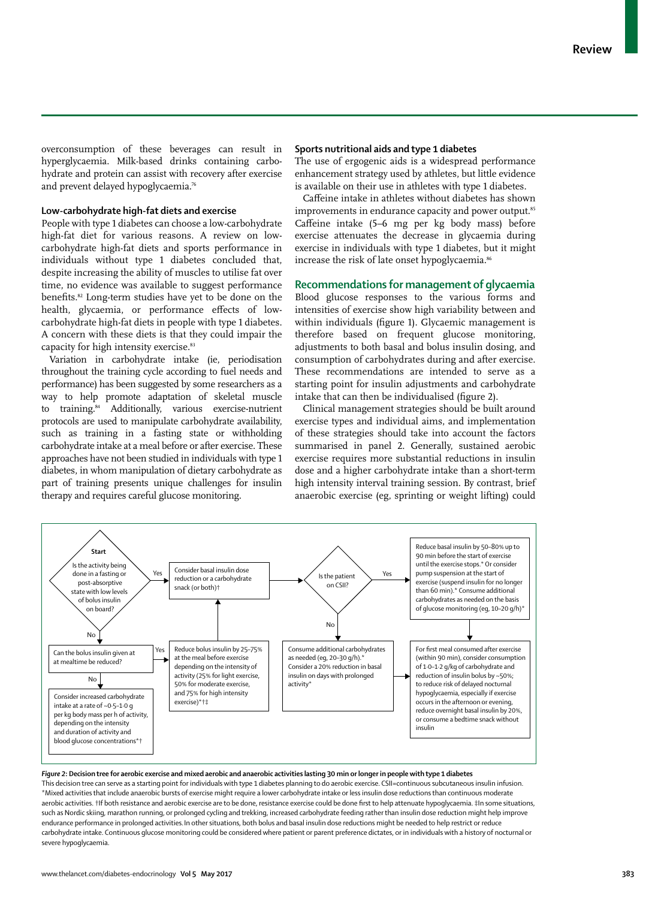overconsumption of these beverages can result in hyperglycaemia. Milk-based drinks containing carbohydrate and protein can assist with recovery after exercise and prevent delayed hypoglycaemia.<sup>76</sup>

#### **Low-carbohydrate high-fat diets and exercise**

People with type 1 diabetes can choose a low-carbohydrate high-fat diet for various reasons. A review on lowcarbohydrate high-fat diets and sports performance in individuals without type 1 diabetes concluded that, despite increasing the ability of muscles to utilise fat over time, no evidence was available to suggest performance benefits.<sup>82</sup> Long-term studies have yet to be done on the health, glycaemia, or performance effects of lowcarbohydrate high-fat diets in people with type 1 diabetes. A concern with these diets is that they could impair the capacity for high intensity exercise.<sup>83</sup>

Variation in carbohydrate intake (ie, periodisation throughout the training cycle according to fuel needs and performance) has been suggested by some researchers as a way to help promote adaptation of skeletal muscle to training.<sup>84</sup> Additionally, various exercise-nutrient protocols are used to manipulate carbohydrate availability, such as training in a fasting state or withholding carbohydrate intake at a meal before or after exercise. These approaches have not been studied in individuals with type 1 diabetes, in whom manipulation of dietary carbohydrate as part of training presents unique challenges for insulin therapy and requires careful glucose monitoring.

#### **Sports nutritional aids and type 1 diabetes**

The use of ergogenic aids is a widespread performance enhancement strategy used by athletes, but little evidence is available on their use in athletes with type 1 diabetes.

Caffeine intake in athletes without diabetes has shown improvements in endurance capacity and power output.<sup>85</sup> Caffeine intake (5–6 mg per kg body mass) before exercise attenuates the decrease in glycaemia during exercise in individuals with type 1 diabetes, but it might increase the risk of late onset hypoglycaemia.<sup>86</sup>

#### **Recommendations for management of glycaemia**

Blood glucose responses to the various forms and intensities of exercise show high variability between and within individuals (figure 1). Glycaemic management is therefore based on frequent glucose monitoring, adjustments to both basal and bolus insulin dosing, and consumption of carbohydrates during and after exercise. These recommendations are intended to serve as a starting point for insulin adjustments and carbohydrate intake that can then be individualised (figure 2).

Clinical management strategies should be built around exercise types and individual aims, and implementation of these strategies should take into account the factors summarised in panel 2. Generally, sustained aerobic exercise requires more substantial reductions in insulin dose and a higher carbohydrate intake than a short-term high intensity interval training session. By contrast, brief anaerobic exercise (eg, sprinting or weight lifting) could



#### *Figure 2***: Decision tree for aerobic exercise and mixed aerobic and anaerobic activities lasting 30 min or longer in people with type 1 diabetes**

This decision tree can serve as a starting point for individuals with type 1 diabetes planning to do aerobic exercise. CSII=continuous subcutaneous insulin infusion. \*Mixed activities that include anaerobic bursts of exercise might require a lower carbohydrate intake or less insulin dose reductions than continuous moderate aerobic activities. †If both resistance and aerobic exercise are to be done, resistance exercise could be done first to help attenuate hypoglycaemia. ‡In some situations, such as Nordic skiing, marathon running, or prolonged cycling and trekking, increased carbohydrate feeding rather than insulin dose reduction might help improve endurance performance in prolonged activities.In other situations, both bolus and basal insulin dose reductions might be needed to help restrict or reduce carbohydrate intake. Continuous glucose monitoring could be considered where patient or parent preference dictates, or in individuals with a history of nocturnal or severe hypoglycaemia.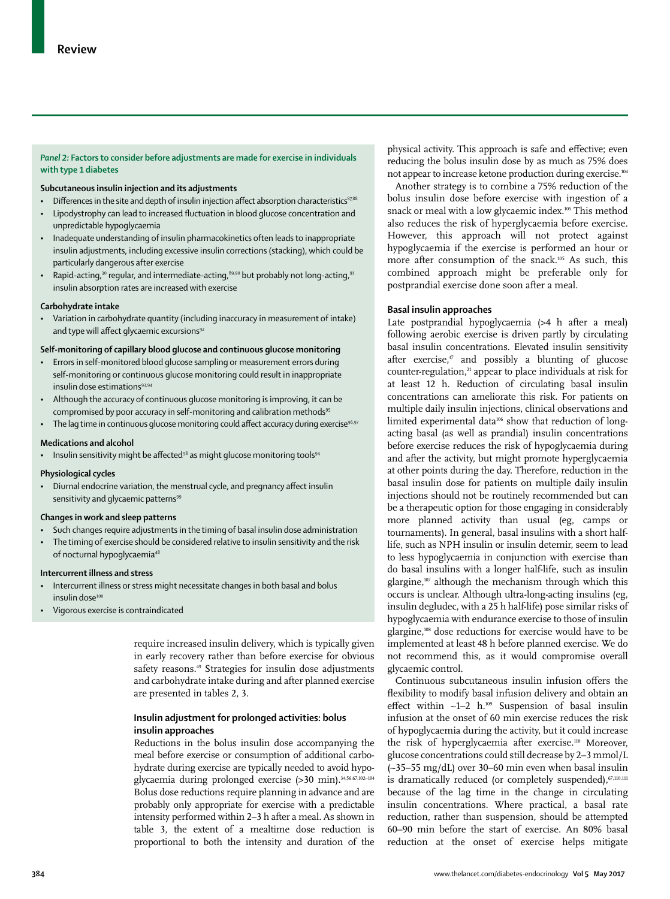#### *Panel 2:* **Factors to consider before adjustments are made for exercise in individuals with type 1 diabetes**

#### **Subcutaneous insulin injection and its adjustments**

- Differences in the site and depth of insulin injection affect absorption characteristics<sup>87,88</sup>
- Lipodystrophy can lead to increased fluctuation in blood glucose concentration and unpredictable hypoglycaemia
- Inadequate understanding of insulin pharmacokinetics often leads to inappropriate insulin adjustments, including excessive insulin corrections (stacking), which could be particularly dangerous after exercise
- Rapid-acting,<sup>30</sup> regular, and intermediate-acting, $89,90$  but probably not long-acting, $91$ insulin absorption rates are increased with exercise

#### **Carbohydrate intake**

• Variation in carbohydrate quantity (including inaccuracy in measurement of intake) and type will affect glycaemic excursions<sup>92</sup>

## **Self-monitoring of capillary blood glucose and continuous glucose monitoring**

- Errors in self-monitored blood glucose sampling or measurement errors during self-monitoring or continuous glucose monitoring could result in inappropriate insulin dose estimations<sup>93,94</sup>
- Although the accuracy of continuous glucose monitoring is improving, it can be compromised by poor accuracy in self-monitoring and calibration methods<sup>95</sup>
- The lag time in continuous glucose monitoring could affect accuracy during exercise<sup>96,97</sup>

#### **Medications and alcohol**

Insulin sensitivity might be affected<sup>98</sup> as might glucose monitoring tools<sup>94</sup>

#### **Physiological cycles**

• Diurnal endocrine variation, the menstrual cycle, and pregnancy affect insulin sensitivity and glycaemic patterns<sup>99</sup>

#### **Changes in work and sleep patterns**

- Such changes require adjustments in the timing of basal insulin dose administration
- The timing of exercise should be considered relative to insulin sensitivity and the risk of nocturnal hypoglycaemia<sup>48</sup>

#### **Intercurrent illness and stress**

- Intercurrent illness or stress might necessitate changes in both basal and bolus  $in$ sulin dose $100$
- Vigorous exercise is contraindicated

require increased insulin delivery, which is typically given in early recovery rather than before exercise for obvious safety reasons.<sup>49</sup> Strategies for insulin dose adjustments and carbohydrate intake during and after planned exercise are presented in tables 2, 3.

## **Insulin adjustment for prolonged activities: bolus insulin approaches**

Reductions in the bolus insulin dose accompanying the meal before exercise or consumption of additional carbohydrate during exercise are typically needed to avoid hypoglycaemia during prolonged exercise  $(>30 \text{ min})$ . 34,56,67,102-104 Bolus dose reductions require planning in advance and are probably only appropriate for exercise with a predictable intensity performed within 2–3 h after a meal. As shown in table 3, the extent of a mealtime dose reduction is proportional to both the intensity and duration of the physical activity. This approach is safe and effective; even reducing the bolus insulin dose by as much as 75% does not appear to increase ketone production during exercise.104

Another strategy is to combine a 75% reduction of the bolus insulin dose before exercise with ingestion of a snack or meal with a low glycaemic index.<sup>105</sup> This method also reduces the risk of hyperglycaemia before exercise. However, this approach will not protect against hypoglycaemia if the exercise is performed an hour or more after consumption of the snack.105 As such, this combined approach might be preferable only for postprandial exercise done soon after a meal.

## **Basal insulin approaches**

Late postprandial hypoglycaemia (>4 h after a meal) following aerobic exercise is driven partly by circulating basal insulin concentrations. Elevated insulin sensitivity after exercise, $47$  and possibly a blunting of glucose counter-regulation,<sup>21</sup> appear to place individuals at risk for at least 12 h. Reduction of circulating basal insulin concentrations can ameliorate this risk. For patients on multiple daily insulin injections, clinical observations and limited experimental data<sup>106</sup> show that reduction of longacting basal (as well as prandial) insulin concentrations before exercise reduces the risk of hypoglycaemia during and after the activity, but might promote hyperglycaemia at other points during the day. Therefore, reduction in the basal insulin dose for patients on multiple daily insulin injections should not be routinely recommended but can be a therapeutic option for those engaging in considerably more planned activity than usual (eg, camps or tournaments). In general, basal insulins with a short halflife, such as NPH insulin or insulin detemir, seem to lead to less hypoglycaemia in conjunction with exercise than do basal insulins with a longer half-life, such as insulin glargine,<sup>107</sup> although the mechanism through which this occurs is unclear. Although ultra-long-acting insulins (eg, insulin degludec, with a 25 h half-life) pose similar risks of hypoglycaemia with endurance exercise to those of insulin glargine,<sup>108</sup> dose reductions for exercise would have to be implemented at least 48 h before planned exercise. We do not recommend this, as it would compromise overall glycaemic control.

Continuous subcutaneous insulin infusion offers the flexibility to modify basal infusion delivery and obtain an effect within  $\sim$ 1–2 h.<sup>109</sup> Suspension of basal insulin infusion at the onset of 60 min exercise reduces the risk of hypoglycaemia during the activity, but it could increase the risk of hyperglycaemia after exercise.<sup>110</sup> Moreover, glucose concentrations could still decrease by 2–3 mmol/L (~35–55 mg/dL) over 30–60 min even when basal insulin is dramatically reduced (or completely suspended), $67,110,111$ because of the lag time in the change in circulating insulin concentrations. Where practical, a basal rate reduction, rather than suspension, should be attempted 60–90 min before the start of exercise. An 80% basal reduction at the onset of exercise helps mitigate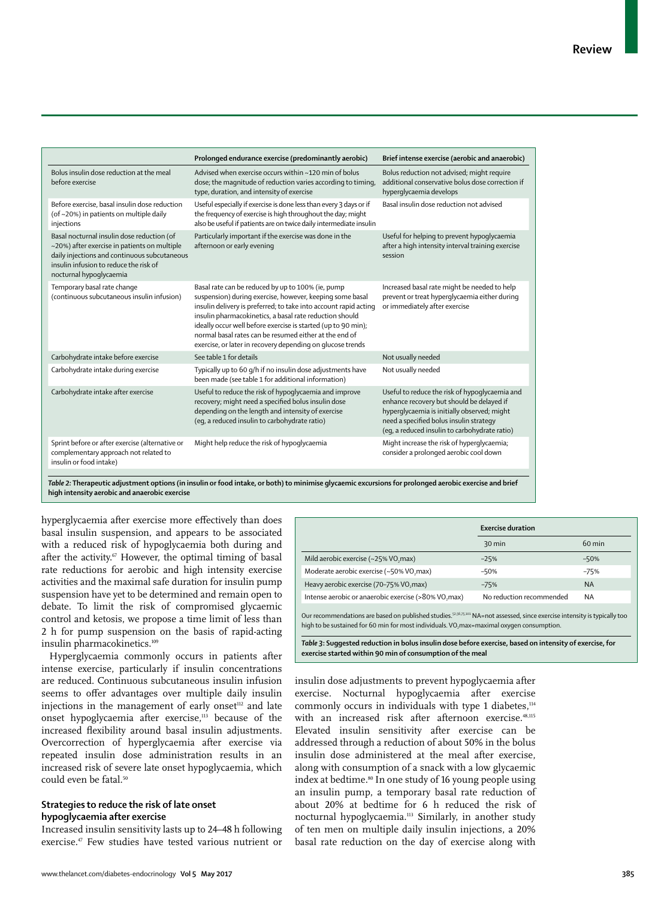|                                                                                                                                                                                                                 | Prolonged endurance exercise (predominantly aerobic)                                                                                                                                                                                                                                                                                                                                                                                  | Brief intense exercise (aerobic and anaerobic)                                                                                                                                                                                         |
|-----------------------------------------------------------------------------------------------------------------------------------------------------------------------------------------------------------------|---------------------------------------------------------------------------------------------------------------------------------------------------------------------------------------------------------------------------------------------------------------------------------------------------------------------------------------------------------------------------------------------------------------------------------------|----------------------------------------------------------------------------------------------------------------------------------------------------------------------------------------------------------------------------------------|
| Bolus insulin dose reduction at the meal<br>before exercise                                                                                                                                                     | Advised when exercise occurs within $\sim$ 120 min of bolus<br>dose; the magnitude of reduction varies according to timing,<br>type, duration, and intensity of exercise                                                                                                                                                                                                                                                              | Bolus reduction not advised; might require<br>additional conservative bolus dose correction if<br>hyperglycaemia develops                                                                                                              |
| Before exercise, basal insulin dose reduction<br>(of ~20%) in patients on multiple daily<br>injections                                                                                                          | Useful especially if exercise is done less than every 3 days or if<br>the frequency of exercise is high throughout the day; might<br>also be useful if patients are on twice daily intermediate insulin                                                                                                                                                                                                                               | Basal insulin dose reduction not advised                                                                                                                                                                                               |
| Basal nocturnal insulin dose reduction (of<br>~20%) after exercise in patients on multiple<br>daily injections and continuous subcutaneous<br>insulin infusion to reduce the risk of<br>nocturnal hypoglycaemia | Particularly important if the exercise was done in the<br>afternoon or early evening                                                                                                                                                                                                                                                                                                                                                  | Useful for helping to prevent hypoglycaemia<br>after a high intensity interval training exercise<br>session                                                                                                                            |
| Temporary basal rate change<br>(continuous subcutaneous insulin infusion)                                                                                                                                       | Basal rate can be reduced by up to 100% (ie, pump<br>suspension) during exercise, however, keeping some basal<br>insulin delivery is preferred; to take into account rapid acting<br>insulin pharmacokinetics, a basal rate reduction should<br>ideally occur well before exercise is started (up to 90 min);<br>normal basal rates can be resumed either at the end of<br>exercise, or later in recovery depending on glucose trends | Increased basal rate might be needed to help<br>prevent or treat hyperglycaemia either during<br>or immediately after exercise                                                                                                         |
| Carbohydrate intake before exercise                                                                                                                                                                             | See table 1 for details                                                                                                                                                                                                                                                                                                                                                                                                               | Not usually needed                                                                                                                                                                                                                     |
| Carbohydrate intake during exercise                                                                                                                                                                             | Typically up to 60 q/h if no insulin dose adjustments have<br>been made (see table 1 for additional information)                                                                                                                                                                                                                                                                                                                      | Not usually needed                                                                                                                                                                                                                     |
| Carbohydrate intake after exercise                                                                                                                                                                              | Useful to reduce the risk of hypoglycaemia and improve<br>recovery; might need a specified bolus insulin dose<br>depending on the length and intensity of exercise<br>(eq, a reduced insulin to carbohydrate ratio)                                                                                                                                                                                                                   | Useful to reduce the risk of hypoglycaemia and<br>enhance recovery but should be delayed if<br>hyperqlycaemia is initially observed; might<br>need a specified bolus insulin strategy<br>(eq, a reduced insulin to carbohydrate ratio) |
| Sprint before or after exercise (alternative or<br>complementary approach not related to<br>insulin or food intake)                                                                                             | Might help reduce the risk of hypoglycaemia                                                                                                                                                                                                                                                                                                                                                                                           | Might increase the risk of hyperglycaemia;<br>consider a prolonged aerobic cool down                                                                                                                                                   |

*Table 2:* **Therapeutic adjustment options (in insulin or food intake, or both) to minimise glycaemic excursions for prolonged aerobic exercise and brief high intensity aerobic and anaerobic exercise**

hyperglycaemia after exercise more effectively than does basal insulin suspension, and appears to be associated with a reduced risk of hypoglycaemia both during and after the activity.<sup>67</sup> However, the optimal timing of basal rate reductions for aerobic and high intensity exercise activities and the maximal safe duration for insulin pump suspension have yet to be determined and remain open to debate. To limit the risk of compromised glycaemic control and ketosis, we propose a time limit of less than 2 h for pump suspension on the basis of rapid-acting insulin pharmacokinetics.<sup>109</sup>

Hyperglycaemia commonly occurs in patients after intense exercise, particularly if insulin concentrations are reduced. Continuous subcutaneous insulin infusion seems to offer advantages over multiple daily insulin injections in the management of early onset<sup>112</sup> and late onset hypoglycaemia after exercise,<sup>113</sup> because of the increased flexibility around basal insulin adjustments. Overcorrection of hyperglycaemia after exercise via repeated insulin dose administration results in an increased risk of severe late onset hypoglycaemia, which could even be fatal.<sup>50</sup>

## **Strategies to reduce the risk of late onset hypoglycaemia after exercise**

Increased insulin sensitivity lasts up to 24–48 h following exercise.47 Few studies have tested various nutrient or

|                                                                                                                                                                                                                                     | <b>Exercise duration</b> |                  |
|-------------------------------------------------------------------------------------------------------------------------------------------------------------------------------------------------------------------------------------|--------------------------|------------------|
|                                                                                                                                                                                                                                     | 30 min                   | $60 \text{ min}$ |
| Mild aerobic exercise (~25% VO, max)                                                                                                                                                                                                | $-25%$                   | $-50%$           |
| Moderate aerobic exercise (~50% VO, max)                                                                                                                                                                                            | $-50%$                   | $-75%$           |
| Heavy aerobic exercise (70-75% VO <sub>2</sub> max)                                                                                                                                                                                 | $-75%$                   | <b>NA</b>        |
| Intense aerobic or anaerobic exercise (>80% VO, max)                                                                                                                                                                                | No reduction recommended | <b>NA</b>        |
| Our recommendations are based on published studies. <sup>52,56,75,101</sup> NA=not assessed, since exercise intensity is typically too<br>high to be sustained for 60 min for most individuals. VO, max=maximal oxygen consumption. |                          |                  |

*Table 3***: Suggested reduction in bolus insulin dose before exercise, based on intensity of exercise, for exercise started within 90 min of consumption of the meal**

insulin dose adjustments to prevent hypoglycaemia after exercise. Nocturnal hypoglycaemia after exercise commonly occurs in individuals with type 1 diabetes,<sup>114</sup> with an increased risk after afternoon exercise.<sup>48,115</sup> Elevated insulin sensitivity after exercise can be addressed through a reduction of about 50% in the bolus insulin dose administered at the meal after exercise, along with consumption of a snack with a low glycaemic index at bedtime.<sup>80</sup> In one study of 16 young people using an insulin pump, a temporary basal rate reduction of about 20% at bedtime for 6 h reduced the risk of nocturnal hypoglycaemia.113 Similarly, in another study of ten men on multiple daily insulin injections, a 20% basal rate reduction on the day of exercise along with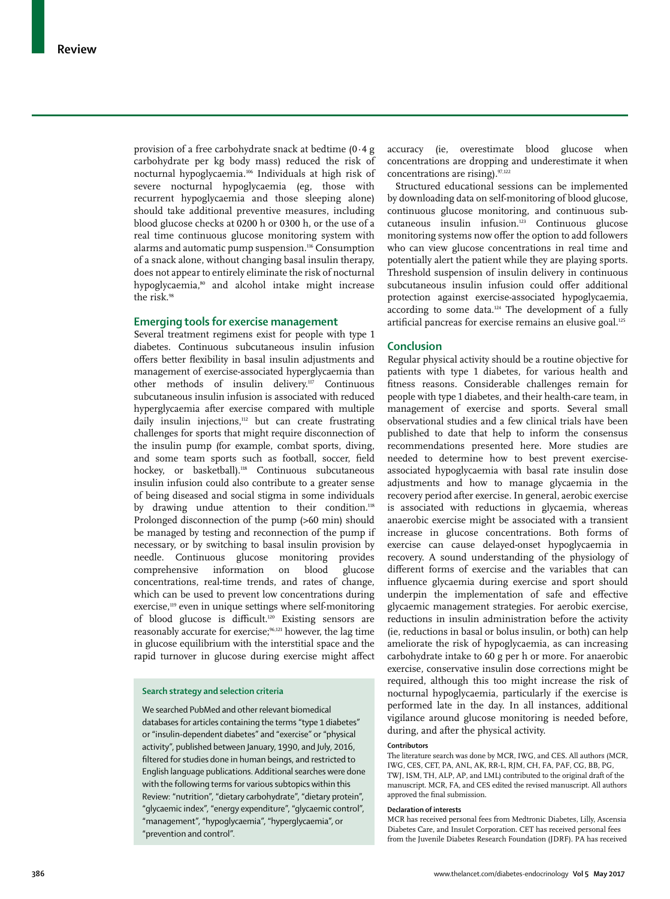provision of a free carbohydrate snack at bedtime (0·4 g carbohydrate per kg body mass) reduced the risk of nocturnal hypoglycaemia.106 Individuals at high risk of severe nocturnal hypoglycaemia (eg, those with recurrent hypoglycaemia and those sleeping alone) should take additional preventive measures, including blood glucose checks at 0200 h or 0300 h, or the use of a real time continuous glucose monitoring system with alarms and automatic pump suspension.116 Consumption of a snack alone, without changing basal insulin therapy, does not appear to entirely eliminate the risk of nocturnal hypoglycaemia,<sup>80</sup> and alcohol intake might increase the risk.98

## **Emerging tools for exercise management**

Several treatment regimens exist for people with type 1 diabetes. Continuous subcutaneous insulin infusion offers better flexibility in basal insulin adjustments and management of exercise-associated hyperglycaemia than other methods of insulin delivery.117 Continuous subcutaneous insulin infusion is associated with reduced hyperglycaemia after exercise compared with multiple daily insulin injections,<sup>112</sup> but can create frustrating challenges for sports that might require disconnection of the insulin pump (for example, combat sports, diving, and some team sports such as football, soccer, field hockey, or basketball).<sup>118</sup> Continuous subcutaneous insulin infusion could also contribute to a greater sense of being diseased and social stigma in some individuals by drawing undue attention to their condition.<sup>118</sup> Prolonged disconnection of the pump (>60 min) should be managed by testing and reconnection of the pump if necessary, or by switching to basal insulin provision by needle. Continuous glucose monitoring provides comprehensive information on blood glucose concentrations, real-time trends, and rates of change, which can be used to prevent low concentrations during exercise,<sup>119</sup> even in unique settings where self-monitoring of blood glucose is difficult.120 Existing sensors are reasonably accurate for exercise;<sup>96,121</sup> however, the lag time in glucose equilibrium with the interstitial space and the rapid turnover in glucose during exercise might affect

#### **Search strategy and selection criteria**

We searched PubMed and other relevant biomedical databases for articles containing the terms "type 1 diabetes" or "insulin-dependent diabetes" and "exercise" or "physical activity", published between January, 1990, and July, 2016, filtered for studies done in human beings, and restricted to English language publications. Additional searches were done with the following terms for various subtopics within this Review: "nutrition", "dietary carbohydrate", "dietary protein", "glycaemic index", "energy expenditure", "glycaemic control", "management", "hypoglycaemia", "hyperglycaemia", or "prevention and control".

accuracy (ie, overestimate blood glucose when concentrations are dropping and underestimate it when concentrations are rising). $97,122$ 

Structured educational sessions can be implemented by downloading data on self-monitoring of blood glucose, continuous glucose monitoring, and continuous subcutaneous insulin infusion.123 Continuous glucose monitoring systems now offer the option to add followers who can view glucose concentrations in real time and potentially alert the patient while they are playing sports. Threshold suspension of insulin delivery in continuous subcutaneous insulin infusion could offer additional protection against exercise-associated hypoglycaemia, according to some data. $124$  The development of a fully artificial pancreas for exercise remains an elusive goal.125

#### **Conclusion**

Regular physical activity should be a routine objective for patients with type 1 diabetes, for various health and fitness reasons. Considerable challenges remain for people with type 1 diabetes, and their health-care team, in management of exercise and sports. Several small observational studies and a few clinical trials have been published to date that help to inform the consensus recommendations presented here. More studies are needed to determine how to best prevent exerciseassociated hypoglycaemia with basal rate insulin dose adjustments and how to manage glycaemia in the recovery period after exercise. In general, aerobic exercise is associated with reductions in glycaemia, whereas anaerobic exercise might be associated with a transient increase in glucose concentrations. Both forms of exercise can cause delayed-onset hypoglycaemia in recovery. A sound understanding of the physiology of different forms of exercise and the variables that can influence glycaemia during exercise and sport should underpin the implementation of safe and effective glycaemic management strategies. For aerobic exercise, reductions in insulin administration before the activity (ie, reductions in basal or bolus insulin, or both) can help ameliorate the risk of hypoglycaemia, as can increasing carbohydrate intake to 60 g per h or more. For anaerobic exercise, conservative insulin dose corrections might be required, although this too might increase the risk of nocturnal hypoglycaemia, particularly if the exercise is performed late in the day. In all instances, additional vigilance around glucose monitoring is needed before, during, and after the physical activity.

#### **Contributors**

The literature search was done by MCR, IWG, and CES. All authors (MCR, IWG, CES, CET, PA, ANL, AK, RR-L, RJM, CH, FA, PAF, CG, BB, PG, TWJ, ISM, TH, ALP, AP, and LML) contributed to the original draft of the manuscript. MCR, FA, and CES edited the revised manuscript. All authors approved the final submission.

#### **Declaration of interests**

MCR has received personal fees from Medtronic Diabetes, Lilly, Ascensia Diabetes Care, and Insulet Corporation. CET has received personal fees from the Juvenile Diabetes Research Foundation (JDRF). PA has received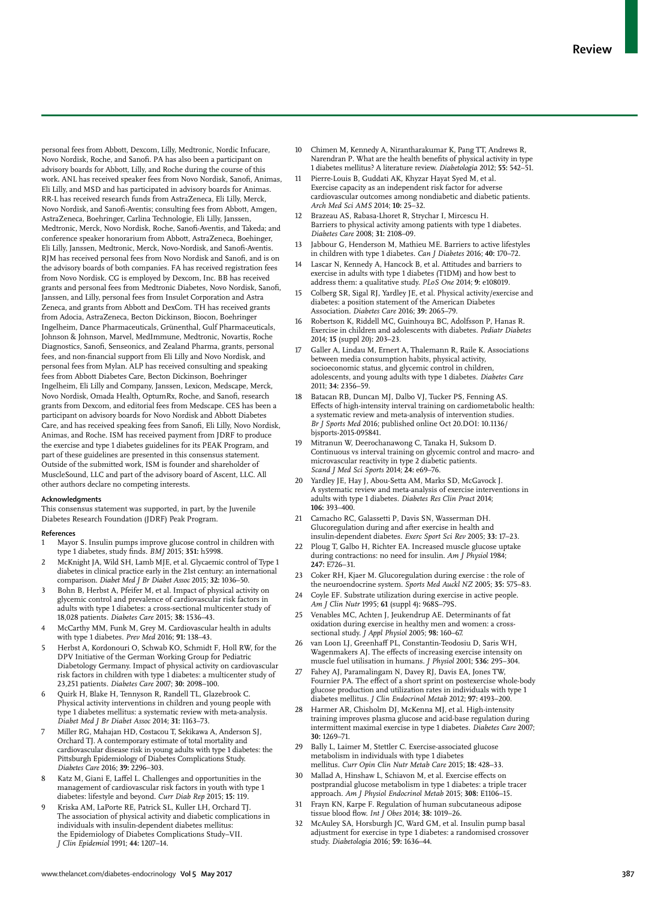personal fees from Abbott, Dexcom, Lilly, Medtronic, Nordic Infucare, Novo Nordisk, Roche, and Sanofi. PA has also been a participant on advisory boards for Abbott, Lilly, and Roche during the course of this work**.** ANL has received speaker fees from Novo Nordisk, Sanofi, Animas, Eli Lilly, and MSD and has participated in advisory boards for Animas. RR-L has received research funds from AstraZeneca, Eli Lilly, Merck, Novo Nordisk, and Sanofi-Aventis; consulting fees from Abbott, Amgen, AstraZeneca, Boehringer, Carlina Technologie, Eli Lilly, Janssen, Medtronic, Merck, Novo Nordisk, Roche, Sanofi-Aventis, and Takeda; and conference speaker honorarium from Abbott, AstraZeneca, Boehinger, Eli Lilly, Janssen, Medtronic, Merck, Novo-Nordisk, and Sanofi-Aventis. RJM has received personal fees from Novo Nordisk and Sanofi, and is on the advisory boards of both companies. FA has received registration fees from Novo Nordisk. CG is employed by Dexcom, Inc. BB has received grants and personal fees from Medtronic Diabetes, Novo Nordisk, Sanofi, Janssen, and Lilly, personal fees from Insulet Corporation and Astra Zeneca, and grants from Abbott and DexCom. TH has received grants from Adocia, AstraZeneca, Becton Dickinson, Biocon, Boehringer Ingelheim, Dance Pharmaceuticals, Grünenthal, Gulf Pharmaceuticals, Johnson & Johnson, Marvel, MedImmune, Medtronic, Novartis, Roche Diagnostics, Sanofi, Senseonics, and Zealand Pharma, grants, personal fees, and non-financial support from Eli Lilly and Novo Nordisk, and personal fees from Mylan. ALP has received consulting and speaking fees from Abbott Diabetes Care, Becton Dickinson, Boehringer Ingelheim, Eli Lilly and Company, Janssen, Lexicon, Medscape, Merck, Novo Nordisk, Omada Health, OptumRx, Roche, and Sanofi, research grants from Dexcom, and editorial fees from Medscape. CES has been a participant on advisory boards for Novo Nordisk and Abbott Diabetes Care, and has received speaking fees from Sanofi, Eli Lilly, Novo Nordisk, Animas, and Roche. ISM has received payment from JDRF to produce the exercise and type 1 diabetes guidelines for its PEAK Program, and part of these guidelines are presented in this consensus statement. Outside of the submitted work, ISM is founder and shareholder of MuscleSound, LLC and part of the advisory board of Ascent, LLC. All other authors declare no competing interests.

#### **Acknowledgments**

This consensus statement was supported, in part, by the Juvenile Diabetes Research Foundation (JDRF) Peak Program.

#### **References**

- 1 Mayor S. Insulin pumps improve glucose control in children with type 1 diabetes, study finds. *BMJ* 2015; **351:** h5998.
- 2 McKnight JA, Wild SH, Lamb MJE, et al. Glycaemic control of Type 1 diabetes in clinical practice early in the 21st century: an international comparison. *Diabet Med J Br Diabet Assoc* 2015; **32:** 1036–50.
- Bohn B, Herbst A, Pfeifer M, et al. Impact of physical activity on glycemic control and prevalence of cardiovascular risk factors in adults with type 1 diabetes: a cross-sectional multicenter study of 18,028 patients. *Diabetes Care* 2015; **38:** 1536–43.
- McCarthy MM, Funk M, Grey M. Cardiovascular health in adults with type 1 diabetes. *Prev Med* 2016; **91:** 138–43.
- 5 Herbst A, Kordonouri O, Schwab KO, Schmidt F, Holl RW, for the DPV Initiative of the German Working Group for Pediatric Diabetology Germany. Impact of physical activity on cardiovascular risk factors in children with type 1 diabetes: a multicenter study of 23,251 patients. *Diabetes Care* 2007; **30:** 2098–100.
- 6 Quirk H, Blake H, Tennyson R, Randell TL, Glazebrook C. Physical activity interventions in children and young people with type 1 diabetes mellitus: a systematic review with meta-analysis. *Diabet Med J Br Diabet Assoc* 2014; **31:** 1163–73.
- 7 Miller RG, Mahajan HD, Costacou T, Sekikawa A, Anderson SJ, Orchard TJ. A contemporary estimate of total mortality and cardiovascular disease risk in young adults with type 1 diabetes: the Pittsburgh Epidemiology of Diabetes Complications Study. *Diabetes Care* 2016; **39:** 2296–303.
- Katz M, Giani E, Laffel L. Challenges and opportunities in the management of cardiovascular risk factors in youth with type 1 diabetes: lifestyle and beyond. *Curr Diab Rep* 2015; **15:** 119.
- 9 Kriska AM, LaPorte RE, Patrick SL, Kuller LH, Orchard TJ. The association of physical activity and diabetic complications in individuals with insulin-dependent diabetes mellitus: the Epidemiology of Diabetes Complications Study–VII. *J Clin Epidemiol* 1991; **44:** 1207–14.
- 10 Chimen M, Kennedy A, Nirantharakumar K, Pang TT, Andrews R, Narendran P. What are the health benefits of physical activity in type 1 diabetes mellitus? A literature review. *Diabetologia* 2012; **55:** 542–51.
- Pierre-Louis B, Guddati AK, Khyzar Hayat Syed M, et al. Exercise capacity as an independent risk factor for adverse cardiovascular outcomes among nondiabetic and diabetic patients. *Arch Med Sci AMS* 2014; **10:** 25–32.
- 12 Brazeau AS, Rabasa-Lhoret R, Strychar I, Mircescu H. Barriers to physical activity among patients with type 1 diabetes. *Diabetes Care* 2008; **31:** 2108–09.
- 13 Jabbour G, Henderson M, Mathieu ME. Barriers to active lifestyles in children with type 1 diabetes. *Can J Diabetes* 2016; **40:** 170–72.
- Lascar N, Kennedy A, Hancock B, et al. Attitudes and barriers to exercise in adults with type 1 diabetes (T1DM) and how best to address them: a qualitative study. *PLoS One* 2014; **9:** e108019.
- 15 Colberg SR, Sigal RJ, Yardley JE, et al. Physical activity/exercise and diabetes: a position statement of the American Diabetes Association. *Diabetes Care* 2016; **39:** 2065–79.
- 16 Robertson K, Riddell MC, Guinhouya BC, Adolfsson P, Hanas R. Exercise in children and adolescents with diabetes. *Pediatr Diabetes* 2014; **15** (suppl 20)**:** 203–23.
- 17 Galler A, Lindau M, Ernert A, Thalemann R, Raile K. Associations between media consumption habits, physical activity, socioeconomic status, and glycemic control in children adolescents, and young adults with type 1 diabetes. *Diabetes Care* 2011; **34:** 2356–59.
- 18 Batacan RB, Duncan MJ, Dalbo VJ, Tucker PS, Fenning AS. Effects of high-intensity interval training on cardiometabolic health: a systematic review and meta-analysis of intervention studies. *Br J Sports Med* 2016; published online Oct 20.DOI: 10.1136/ bjsports-2015-095841.
- Mitranun W, Deerochanawong C, Tanaka H, Suksom D. Continuous vs interval training on glycemic control and macro- and microvascular reactivity in type 2 diabetic patients. *Scand J Med Sci Sports* 2014; **24:** e69–76.
- 20 Yardley JE, Hay J, Abou-Setta AM, Marks SD, McGavock J. A systematic review and meta-analysis of exercise interventions in adults with type 1 diabetes. *Diabetes Res Clin Pract* 2014; **106:** 393–400.
- Camacho RC, Galassetti P, Davis SN, Wasserman DH. Glucoregulation during and after exercise in health and insulin-dependent diabetes. *Exerc Sport Sci Rev* 2005; **33:** 17–23.
- 22 Ploug T, Galbo H, Richter EA. Increased muscle glucose uptake during contractions: no need for insulin. *Am J Physiol* 1984; **247:** E726–31.
- 23 Coker RH, Kjaer M. Glucoregulation during exercise : the role of the neuroendocrine system. *Sports Med Auckl NZ* 2005; **35:** 575–83.
- 24 Coyle EF. Substrate utilization during exercise in active people. *Am J Clin Nutr* 1995; **61** (suppl 4)**:** 968S–79S.
- 25 Venables MC, Achten J, Jeukendrup AE. Determinants of fat oxidation during exercise in healthy men and women: a crosssectional study. *J Appl Physiol* 2005; **98:** 160–67.
- van Loon LJ, Greenhaff PL, Constantin-Teodosiu D, Saris WH, Wagenmakers AJ. The effects of increasing exercise intensity on muscle fuel utilisation in humans. *J Physiol* 2001; **536:** 295–304.
- 27 Fahey AJ, Paramalingam N, Davey RJ, Davis EA, Jones TW, Fournier PA. The effect of a short sprint on postexercise whole-body glucose production and utilization rates in individuals with type 1 diabetes mellitus. *J Clin Endocrinol Metab* 2012; **97:** 4193–200.
- 28 Harmer AR, Chisholm DJ, McKenna MJ, et al. High-intensity training improves plasma glucose and acid-base regulation during intermittent maximal exercise in type 1 diabetes. *Diabetes Care* 2007; **30:** 1269–71.
- 29 Bally L, Laimer M, Stettler C. Exercise-associated glucose metabolism in individuals with type 1 diabetes mellitus. *Curr Opin Clin Nutr Metab Care* 2015; **18:** 428–33.
- Mallad A, Hinshaw L, Schiavon M, et al. Exercise effects on postprandial glucose metabolism in type 1 diabetes: a triple tracer approach. *Am J Physiol Endocrinol Metab* 2015; **308:** E1106–15.
- 31 Frayn KN, Karpe F. Regulation of human subcutaneous adipose tissue blood flow. *Int J Obes* 2014; **38:** 1019–26.
- McAuley SA, Horsburgh JC, Ward GM, et al. Insulin pump basal adjustment for exercise in type 1 diabetes: a randomised crossover study. *Diabetologia* 2016; **59:** 1636–44.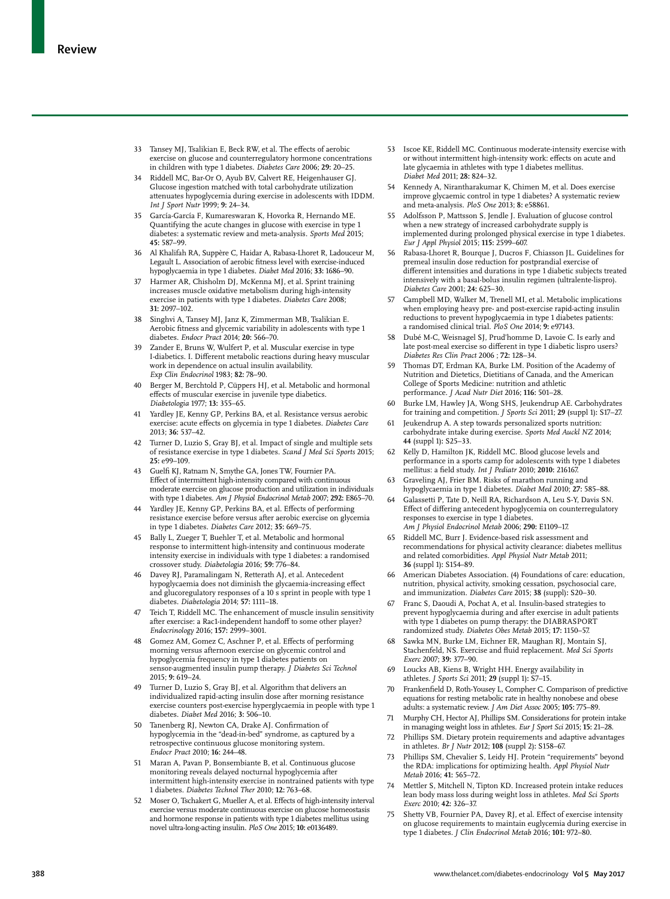- 33 Tansey MJ, Tsalikian E, Beck RW, et al. The effects of aerobic exercise on glucose and counterregulatory hormone concentrations in children with type 1 diabetes. *Diabetes Care* 2006; **29:** 20–25.
- 34 Riddell MC, Bar-Or O, Ayub BV, Calvert RE, Heigenhauser GJ. Glucose ingestion matched with total carbohydrate utilization attenuates hypoglycemia during exercise in adolescents with IDDM. *Int J Sport Nutr* 1999; **9:** 24–34.
- 35 García-García F, Kumareswaran K, Hovorka R, Hernando ME. Quantifying the acute changes in glucose with exercise in type 1 diabetes: a systematic review and meta-analysis. *Sports Med* 2015; **45:** 587–99.
- 36 Al Khalifah RA, Suppère C, Haidar A, Rabasa-Lhoret R, Ladouceur M, Legault L. Association of aerobic fitness level with exercise-induced hypoglycaemia in type 1 diabetes. *Diabet Med* 2016; **33:** 1686–90.
- Harmer AR, Chisholm DJ, McKenna MJ, et al. Sprint training increases muscle oxidative metabolism during high-intensity exercise in patients with type 1 diabetes. *Diabetes Care* 2008; **31:** 2097–102.
- 38 Singhvi A, Tansey MJ, Janz K, Zimmerman MB, Tsalikian E. Aerobic fitness and glycemic variability in adolescents with type 1 diabetes. *Endocr Pract* 2014; **20:** 566–70.
- 39 Zander E, Bruns W, Wulfert P, et al. Muscular exercise in type I-diabetics. I. Different metabolic reactions during heavy muscular work in dependence on actual insulin availability. *Exp Clin Endocrinol* 1983; **82:** 78–90.
- 40 Berger M, Berchtold P, Cüppers HJ, et al. Metabolic and hormonal effects of muscular exercise in juvenile type diabetics. *Diabetologia* 1977; **13:** 355–65.
- 41 Yardley JE, Kenny GP, Perkins BA, et al. Resistance versus aerobic exercise: acute effects on glycemia in type 1 diabetes. *Diabetes Care* 2013; **36:** 537–42.
- 42 Turner D, Luzio S, Gray BJ, et al. Impact of single and multiple sets of resistance exercise in type 1 diabetes. *Scand J Med Sci Sports* 2015; **25:** e99–109.
- 43 Guelfi KJ, Ratnam N, Smythe GA, Jones TW, Fournier PA. Effect of intermittent high-intensity compared with continuous moderate exercise on glucose production and utilization in individuals with type 1 diabetes. *Am J Physiol Endocrinol Metab* 2007; **292:** E865–70.
- 44 Yardley JE, Kenny GP, Perkins BA, et al. Effects of performing resistance exercise before versus after aerobic exercise on glycemia in type 1 diabetes. *Diabetes Care* 2012; **35:** 669–75.
- 45 Bally L, Zueger T, Buehler T, et al. Metabolic and hormonal response to intermittent high-intensity and continuous moderate intensity exercise in individuals with type 1 diabetes: a randomised crossover study. *Diabetologia* 2016; **59:** 776–84.
- Davey RJ, Paramalingam N, Retterath AJ, et al. Antecedent hypoglycaemia does not diminish the glycaemia-increasing effect and glucoregulatory responses of a 10 s sprint in people with type 1 diabetes. *Diabetologia* 2014; **57:** 1111–18.
- Teich T, Riddell MC. The enhancement of muscle insulin sensitivity after exercise: a Rac1-independent handoff to some other player? *Endocrinology* 2016; **157:** 2999–3001.
- 48 Gomez AM, Gomez C, Aschner P, et al. Effects of performing morning versus afternoon exercise on glycemic control and hypoglycemia frequency in type 1 diabetes patients on sensor-augmented insulin pump therapy. *J Diabetes Sci Technol* 2015; **9:** 619–24.
- 49 Turner D, Luzio S, Gray BJ, et al. Algorithm that delivers an individualized rapid-acting insulin dose after morning resistance exercise counters post-exercise hyperglycaemia in people with type 1 diabetes. *Diabet Med* 2016; **3:** 506–10.
- 50 Tanenberg RJ, Newton CA, Drake AJ. Confirmation of hypoglycemia in the "dead-in-bed" syndrome, as captured by a retrospective continuous glucose monitoring system. *Endocr Pract* 2010; **16:** 244–48.
- 51 Maran A, Pavan P, Bonsembiante B, et al. Continuous glucose monitoring reveals delayed nocturnal hypoglycemia after intermittent high-intensity exercise in nontrained patients with type 1 diabetes. *Diabetes Technol Ther* 2010; **12:** 763–68.
- Moser O, Tschakert G, Mueller A, et al. Effects of high-intensity interval exercise versus moderate continuous exercise on glucose homeostasis and hormone response in patients with type 1 diabetes mellitus using novel ultra-long-acting insulin. *PloS One* 2015; **10:** e0136489.
- 53 Iscoe KE, Riddell MC. Continuous moderate-intensity exercise with or without intermittent high-intensity work: effects on acute and late glycaemia in athletes with type 1 diabetes mellitus. *Diabet Med* 2011; **28:** 824–32.
- Kennedy A, Nirantharakumar K, Chimen M, et al. Does exercise improve glycaemic control in type 1 diabetes? A systematic review and meta-analysis. *PloS One* 2013; **8:** e58861.
- Adolfsson P, Mattsson S, Jendle J. Evaluation of glucose control when a new strategy of increased carbohydrate supply is implemented during prolonged physical exercise in type 1 diabetes. *Eur J Appl Physiol* 2015; **115:** 2599–607.
- 56 Rabasa-Lhoret R, Bourque J, Ducros F, Chiasson JL. Guidelines for premeal insulin dose reduction for postprandial exercise of different intensities and durations in type 1 diabetic subjects treated intensively with a basal-bolus insulin regimen (ultralente-lispro). *Diabetes Care* 2001; **24:** 625–30.
- 57 Campbell MD, Walker M, Trenell MI, et al. Metabolic implications when employing heavy pre- and post-exercise rapid-acting insulin reductions to prevent hypoglycaemia in type 1 diabetes patients: a randomised clinical trial. *PloS One* 2014; **9:** e97143.
- 58 Dubé M-C, Weisnagel SJ, Prud'homme D, Lavoie C. Is early and late post-meal exercise so different in type 1 diabetic lispro users? *Diabetes Res Clin Pract* 2006 ; **72:** 128–34.
- Thomas DT, Erdman KA, Burke LM. Position of the Academy of Nutrition and Dietetics, Dietitians of Canada, and the American College of Sports Medicine: nutrition and athletic performance. *J Acad Nutr Diet* 2016; **116:** 501–28.
- 60 Burke LM, Hawley JA, Wong SHS, Jeukendrup AE. Carbohydrates for training and competition. *J Sports Sci* 2011; **29** (suppl 1)**:** S17–27.
- 61 Jeukendrup A. A step towards personalized sports nutrition: carbohydrate intake during exercise. *Sports Med Auckl NZ* 2014; **44** (suppl 1)**:** S25–33.
- Kelly D, Hamilton JK, Riddell MC. Blood glucose levels and performance in a sports camp for adolescents with type 1 diabetes mellitus: a field study. *Int J Pediatr* 2010; **2010:** 216167.
- 63 Graveling AJ, Frier BM. Risks of marathon running and hypoglycaemia in type 1 diabetes. *Diabet Med* 2010; **27:** 585–88.
- 64 Galassetti P, Tate D, Neill RA, Richardson A, Leu S-Y, Davis SN. Effect of differing antecedent hypoglycemia on counterregulatory responses to exercise in type 1 diabetes. *Am J Physiol Endocrinol Metab* 2006; **290:** E1109–17.
- Riddell MC, Burr J. Evidence-based risk assessment and recommendations for physical activity clearance: diabetes mellitus and related comorbidities. *Appl Physiol Nutr Metab* 2011; **36** (suppl 1)**:** S154–89.
- American Diabetes Association. (4) Foundations of care: education, nutrition, physical activity, smoking cessation, psychosocial care, and immunization. *Diabetes Care* 2015; **38** (suppl)**:** S20–30.
- 67 Franc S, Daoudi A, Pochat A, et al. Insulin-based strategies to prevent hypoglycaemia during and after exercise in adult patients with type 1 diabetes on pump therapy: the DIABRASPORT randomized study. *Diabetes Obes Metab* 2015; **17:** 1150–57.
- Sawka MN, Burke LM, Eichner ER, Maughan RJ, Montain SJ, Stachenfeld, NS. Exercise and fluid replacement. *Med Sci Sports Exerc* 2007; **39:** 377–90.
- 69 Loucks AB, Kiens B, Wright HH. Energy availability in athletes. *J Sports Sci* 2011; **29** (suppl 1)**:** S7–15.
- 70 Frankenfield D, Roth-Yousey L, Compher C. Comparison of predictive equations for resting metabolic rate in healthy nonobese and obese adults: a systematic review. *J Am Diet Assoc* 2005; **105:** 775–89.
- 71 Murphy CH, Hector AJ, Phillips SM. Considerations for protein intake in managing weight loss in athletes. *Eur J Sport Sci* 2015; **15:** 21–28.
- 72 Phillips SM. Dietary protein requirements and adaptive advantages in athletes. *Br J Nutr* 2012; **108** (suppl 2)**:** S158–67.
- 73 Phillips SM, Chevalier S, Leidy HJ. Protein "requirements" beyond the RDA: implications for optimizing health. *Appl Physiol Nutr Metab* 2016; **41:** 565–72.
- 74 Mettler S, Mitchell N, Tipton KD. Increased protein intake reduces lean body mass loss during weight loss in athletes. *Med Sci Sports Exerc* 2010; **42:** 326–37.
- Shetty VB, Fournier PA, Davey RJ, et al. Effect of exercise intensity on glucose requirements to maintain euglycemia during exercise in type 1 diabetes. *J Clin Endocrinol Metab* 2016; **101:** 972–80.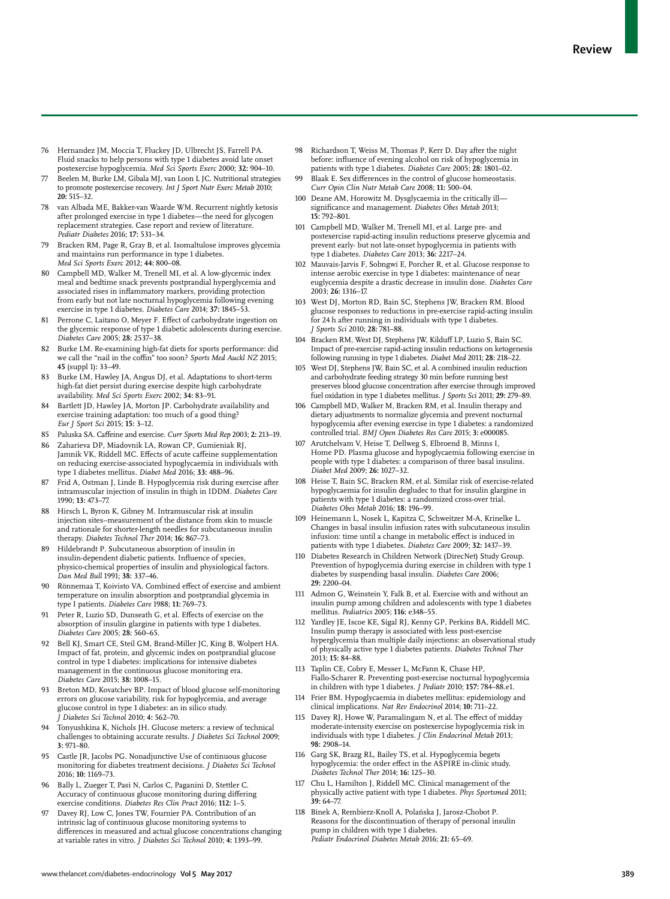- 76 Hernandez JM, Moccia T, Fluckey JD, Ulbrecht JS, Farrell PA. Fluid snacks to help persons with type 1 diabetes avoid late onset postexercise hypoglycemia. *Med Sci Sports Exerc* 2000; **32:** 904–10.
- Beelen M, Burke LM, Gibala MJ, van Loon L JC. Nutritional strategies to promote postexercise recovery. *Int J Sport Nutr Exerc Metab* 2010; **20:** 515–32.
- 78 van Albada ME, Bakker-van Waarde WM. Recurrent nightly ketosis after prolonged exercise in type 1 diabetes—the need for glycogen replacement strategies. Case report and review of literature. *Pediatr Diabetes* 2016; **17:** 531–34.
- Bracken RM, Page R, Gray B, et al. Isomaltulose improves glycemia and maintains run performance in type 1 diabetes. *Med Sci Sports Exerc* 2012; **44:** 800–08.
- Campbell MD, Walker M, Trenell MI, et al. A low-glycemic index meal and bedtime snack prevents postprandial hyperglycemia and associated rises in inflammatory markers, providing protection from early but not late nocturnal hypoglycemia following evening exercise in type 1 diabetes. *Diabetes Care* 2014; **37:** 1845–53.
- Perrone C, Laitano O, Meyer F. Effect of carbohydrate ingestion on the glycemic response of type 1 diabetic adolescents during exercise. *Diabetes Care* 2005; **28:** 2537–38.
- 82 Burke LM. Re-examining high-fat diets for sports performance: did we call the "nail in the coffin" too soon? *Sports Med Auckl NZ* 2015; **45** (suppl 1)**:** 33–49.
- 83 Burke LM, Hawley JA, Angus DJ, et al. Adaptations to short-term high-fat diet persist during exercise despite high carbohydrate availability. *Med Sci Sports Exerc* 2002; **34:** 83–91.
- 84 Bartlett JD, Hawley JA, Morton JP. Carbohydrate availability and exercise training adaptation: too much of a good thing? *Eur J Sport Sci* 2015; **15:** 3–12.
- 85 Paluska SA. Caffeine and exercise. *Curr Sports Med Rep* 2003; **2:** 213–19.
- 86 Zaharieva DP, Miadovnik LA, Rowan CP, Gumieniak RJ, Jamnik VK, Riddell MC. Effects of acute caffeine supplementation on reducing exercise-associated hypoglycaemia in individuals with type 1 diabetes mellitus. *Diabet Med* 2016; **33:** 488–96.
- 87 Frid A, Ostman J, Linde B. Hypoglycemia risk during exercise after intramuscular injection of insulin in thigh in IDDM. *Diabetes Care* 1990; **13:** 473–77.
- 88 Hirsch L, Byron K, Gibney M. Intramuscular risk at insulin injection sites--measurement of the distance from skin to muscle and rationale for shorter-length needles for subcutaneous insulin therapy. *Diabetes Technol Ther* 2014; **16:** 867–73.
- 89 Hildebrandt P. Subcutaneous absorption of insulin in insulin-dependent diabetic patients. Influence of species, physico-chemical properties of insulin and physiological factors. *Dan Med Bull* 1991; **38:** 337–46.
- Rönnemaa T, Koivisto VA. Combined effect of exercise and ambient temperature on insulin absorption and postprandial glycemia in type I patients. *Diabetes Care* 1988; **11:** 769–73.
- 91 Peter R, Luzio SD, Dunseath G, et al. Effects of exercise on the absorption of insulin glargine in patients with type 1 diabetes. *Diabetes Care* 2005; **28:** 560–65.
- 92 Bell KJ, Smart CE, Steil GM, Brand-Miller JC, King B, Wolpert HA. Impact of fat, protein, and glycemic index on postprandial glucose control in type 1 diabetes: implications for intensive diabetes management in the continuous glucose monitoring era. *Diabetes Care* 2015; **38:** 1008–15.
- 93 Breton MD, Kovatchev BP. Impact of blood glucose self-monitoring errors on glucose variability, risk for hypoglycemia, and average glucose control in type 1 diabetes: an in silico study. *J Diabetes Sci Technol* 2010; **4:** 562–70.
- Tonyushkina K, Nichols JH. Glucose meters: a review of technical challenges to obtaining accurate results. *J Diabetes Sci Technol* 2009; **3:** 971–80.
- 95 Castle JR, Jacobs PG. Nonadjunctive Use of continuous glucose monitoring for diabetes treatment decisions. *J Diabetes Sci Technol* 2016; **10:** 1169–73.
- 96 Bally L, Zueger T, Pasi N, Carlos C, Paganini D, Stettler C. Accuracy of continuous glucose monitoring during differing exercise conditions. *Diabetes Res Clin Pract* 2016; **112:** 1–5.
- 97 Davey RJ, Low C, Jones TW, Fournier PA. Contribution of an intrinsic lag of continuous glucose monitoring systems to differences in measured and actual glucose concentrations changing at variable rates in vitro. *J Diabetes Sci Technol* 2010; **4:** 1393–99.
- 98 Richardson T, Weiss M, Thomas P, Kerr D. Day after the night before: influence of evening alcohol on risk of hypoglycemia in patients with type 1 diabetes. *Diabetes Care* 2005; **28:** 1801–02.
- 99 Blaak E. Sex differences in the control of glucose homeostasis. *Curr Opin Clin Nutr Metab Care* 2008; **11:** 500–04.
- 100 Deane AM, Horowitz M. Dysglycaemia in the critically ill significance and management. *Diabetes Obes Metab* 2013; **15:** 792–801.
- 101 Campbell MD, Walker M, Trenell MI, et al. Large pre- and postexercise rapid-acting insulin reductions preserve glycemia and prevent early- but not late-onset hypoglycemia in patients with type 1 diabetes. *Diabetes Care* 2013; **36:** 2217–24.
- 102 Mauvais-Jarvis F, Sobngwi E, Porcher R, et al. Glucose response to intense aerobic exercise in type 1 diabetes: maintenance of near euglycemia despite a drastic decrease in insulin dose. *Diabetes Care*  2003; **26:** 1316–17.
- 103 West DJ, Morton RD, Bain SC, Stephens JW, Bracken RM. Blood glucose responses to reductions in pre-exercise rapid-acting insulin for 24 h after running in individuals with type 1 diabetes. *J Sports Sci* 2010; **28:** 781–88.
- 104 Bracken RM, West DJ, Stephens JW, Kilduff LP, Luzio S, Bain SC. Impact of pre-exercise rapid-acting insulin reductions on ketogenesis following running in type 1 diabetes. *Diabet Med* 2011; **28:** 218–22.
- 105 West DJ, Stephens JW, Bain SC, et al. A combined insulin reduction and carbohydrate feeding strategy 30 min before running best preserves blood glucose concentration after exercise through improved fuel oxidation in type 1 diabetes mellitus. *J Sports Sci* 2011; **29:** 279–89.
- 106 Campbell MD, Walker M, Bracken RM, et al. Insulin therapy and dietary adjustments to normalize glycemia and prevent nocturnal hypoglycemia after evening exercise in type 1 diabetes: a randomized controlled trial. *BMJ Open Diabetes Res Care* 2015; **3:** e000085.
- Arutchelvam V, Heise T, Dellweg S, Elbroend B, Minns I, Home PD. Plasma glucose and hypoglycaemia following exercise in people with type 1 diabetes: a comparison of three basal insulins. *Diabet Med* 2009; **26:** 1027–32.
- 108 Heise T, Bain SC, Bracken RM, et al. Similar risk of exercise-related hypoglycaemia for insulin degludec to that for insulin glargine in patients with type 1 diabetes: a randomized cross-over trial. *Diabetes Obes Metab* 2016; **18:** 196–99.
- 109 Heinemann L, Nosek L, Kapitza C, Schweitzer M-A, Krinelke L. Changes in basal insulin infusion rates with subcutaneous insulin infusion: time until a change in metabolic effect is induced in patients with type 1 diabetes. *Diabetes Care* 2009; **32:** 1437–39.
- 110 Diabetes Research in Children Network (DirecNet) Study Group. Prevention of hypoglycemia during exercise in children with type 1 diabetes by suspending basal insulin. *Diabetes Care* 2006; **29:** 2200–04.
- 111 Admon G, Weinstein Y, Falk B, et al. Exercise with and without an insulin pump among children and adolescents with type 1 diabetes mellitus. *Pediatrics* 2005; **116:** e348–55.
- 112 Yardley JE, Iscoe KE, Sigal RJ, Kenny GP, Perkins BA, Riddell MC. Insulin pump therapy is associated with less post-exercise hyperglycemia than multiple daily injections: an observational study of physically active type 1 diabetes patients. *Diabetes Technol Ther* 2013; **15:** 84–88.
- 113 Taplin CE, Cobry E, Messer L, McFann K, Chase HP, Fiallo-Scharer R. Preventing post-exercise nocturnal hypoglycemia in children with type 1 diabetes. *J Pediatr* 2010; **157:** 784–88.e1.
- 114 Frier BM. Hypoglycaemia in diabetes mellitus: epidemiology and clinical implications. *Nat Rev Endocrinol* 2014; **10:** 711–22.
- 115 Davey RJ, Howe W, Paramalingam N, et al. The effect of midday moderate-intensity exercise on postexercise hypoglycemia risk in individuals with type 1 diabetes. *J Clin Endocrinol Metab* 2013; **98:** 2908–14.
- 116 Garg SK, Brazg RL, Bailey TS, et al. Hypoglycemia begets hypoglycemia: the order effect in the ASPIRE in-clinic study. *Diabetes Technol Ther* 2014; **16:** 125–30.
- 117 Chu L, Hamilton J, Riddell MC. Clinical management of the physically active patient with type 1 diabetes. *Phys Sportsmed* 2011; **39:** 64–77.
- 118 Binek A, Rembierz-Knoll A, Polańska J, Jarosz-Chobot P. Reasons for the discontinuation of therapy of personal insulin pump in children with type 1 diabetes. *Pediatr Endocrinol Diabetes Metab* 2016; **21:** 65–69.